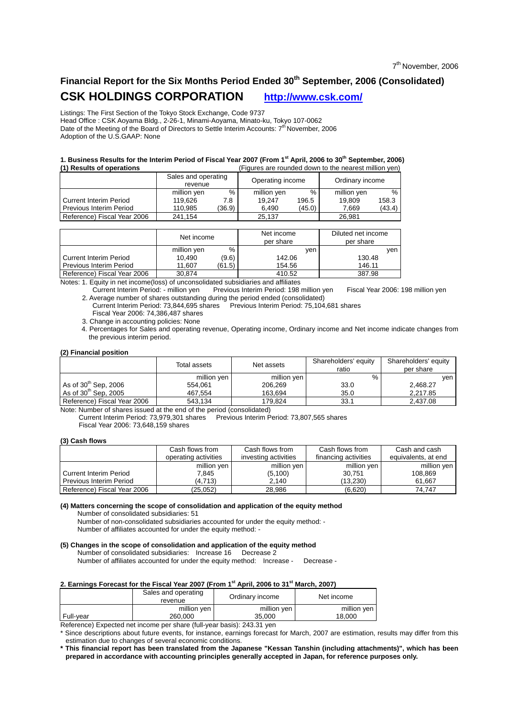# Financial Report for the Six Months Period Ended 30<sup>th</sup> September, 2006 (Consolidated) **CSK HOLDINGS CORPORATION http://www.csk.com/**

Listings: The First Section of the Tokyo Stock Exchange, Code 9737 Head Office : CSK Aoyama Bldg., 2-26-1, Minami-Aoyama, Minato-ku, Tokyo 107-0062 Date of the Meeting of the Board of Directors to Settle Interim Accounts:  $7^{th}$  November, 2006 Adoption of the U.S.GAAP: None

#### **1. Business Results for the Interim Period of Fiscal Year 2007 (From 1<sup>st</sup> April, 2006 to 30<sup>th</sup> September, 2006)<br>(1) Besults of operations (1) Results of operations** (Figures are rounded down to the nearest million yen)

|                                |                                |        | ווטז וששוויון וטטוושטו שוויון וויטג שטוואסו טוגי טוגל |        |                 |        |  |
|--------------------------------|--------------------------------|--------|-------------------------------------------------------|--------|-----------------|--------|--|
|                                | Sales and operating<br>revenue |        | Operating income                                      |        | Ordinary income |        |  |
|                                | million yen                    | %      | million yen                                           | %      | million yen     | $\%$   |  |
| l Current Interim Period       | 119.626                        | 7.8    | 19.247                                                | 196.5  | 19.809          | 158.3  |  |
| <b>Previous Interim Period</b> | 110.985                        | (36.9) | 6.490                                                 | (45.0) | 7.669           | (43.4) |  |
| Reference) Fiscal Year 2006    | 241,154                        |        | 25,137                                                |        | 26.981          |        |  |

|                                | Net income  |        | Net income<br>per share | Diluted net income<br>per share |  |
|--------------------------------|-------------|--------|-------------------------|---------------------------------|--|
|                                | million yen | %      | ven                     | ven                             |  |
| l Current Interim Period       | 10.490      | (9.6)  | 142.06                  | 130.48                          |  |
| <b>Previous Interim Period</b> | 11.607      | (61.5) | 154.56                  | 146.11                          |  |
| Reference) Fiscal Year 2006    | 30.874      |        | 410.52                  | 387.98                          |  |

Notes: 1. Equity in net income(loss) of unconsolidated subsidiaries and affiliates

Current Interim Period: - million yen Previous Interim Period: 198 million yen Fiscal Year 2006: 198 million yen 2. Average number of shares outstanding during the period ended (consolidated)

Previous Interim Period:  $75,104,681$  shares Fiscal Year 2006: 74,386,487 shares

3. Change in accounting policies: None

4. Percentages for Sales and operating revenue, Operating income, Ordinary income and Net income indicate changes from the previous interim period.

#### **(2) Financial position**

|                             | Total assets | Net assets  | Shareholders' equity<br>ratio | Shareholders' equity<br>per share |
|-----------------------------|--------------|-------------|-------------------------------|-----------------------------------|
|                             | million yen  | million yen | %                             | ven                               |
| As of $30th$ Sep, 2006      | 554.061      | 206.269     | 33.0                          | 2.468.27                          |
| As of $30th$ Sep, 2005      | 467.554      | 163.694     | 35.0                          | 2.217.85                          |
| Reference) Fiscal Year 2006 | 543.134      | 179.824     | 33.1                          | 2,437.08                          |

Note: Number of shares issued at the end of the period (consolidated)

Current Interim Period: 73,979,301 shares Previous Interim Period: 73,807,565 shares Fiscal Year 2006: 73,648,159 shares

#### **(3) Cash flows**

|                                | Cash flows from<br>operating activities | Cash flows from<br>investing activities | Cash flows from<br>financing activities | Cash and cash<br>equivalents, at end |
|--------------------------------|-----------------------------------------|-----------------------------------------|-----------------------------------------|--------------------------------------|
|                                | million yen                             | million yen                             | million yen                             | million yen                          |
| <b>Current Interim Period</b>  | 7.845                                   | (5,100)                                 | 30.751                                  | 108.869                              |
| <b>Previous Interim Period</b> | (4.713)                                 | 2.140                                   | (13.230)                                | 61.667                               |
| Reference) Fiscal Year 2006    | (25, 052)                               | 28,986                                  | (6,620)                                 | 74.747                               |

#### **(4) Matters concerning the scope of consolidation and application of the equity method**

Number of consolidated subsidiaries: 51

 Number of non-consolidated subsidiaries accounted for under the equity method: - Number of affiliates accounted for under the equity method: -

#### **(5) Changes in the scope of consolidation and application of the equity method**

Number of consolidated subsidiaries: Increase 16 Decrease 2

Number of affiliates accounted for under the equity method: Increase - Decrease -

## **2. Earnings Forecast for the Fiscal Year 2007 (From 1st April, 2006 to 31st March, 2007)**

|               | Sales and operating<br>revenue | Ordinary income             | Net income  |  |  |
|---------------|--------------------------------|-----------------------------|-------------|--|--|
|               | million yen                    | million yen                 | million yen |  |  |
| Full-year     | 260.000                        | 35.000                      | 18.000      |  |  |
| $\sim$ $\sim$ | $\cdots$                       | $\sim$ $\sim$ $\sim$ $\sim$ |             |  |  |

Reference) Expected net income per share (full-year basis): 243.31 yen \* Since descriptions about future events, for instance, earnings forecast for March, 2007 are estimation, results may differ from this estimation due to changes of several economic conditions.

**\* This financial report has been translated from the Japanese "Kessan Tanshin (including attachments)", which has been prepared in accordance with accounting principles generally accepted in Japan, for reference purposes only.**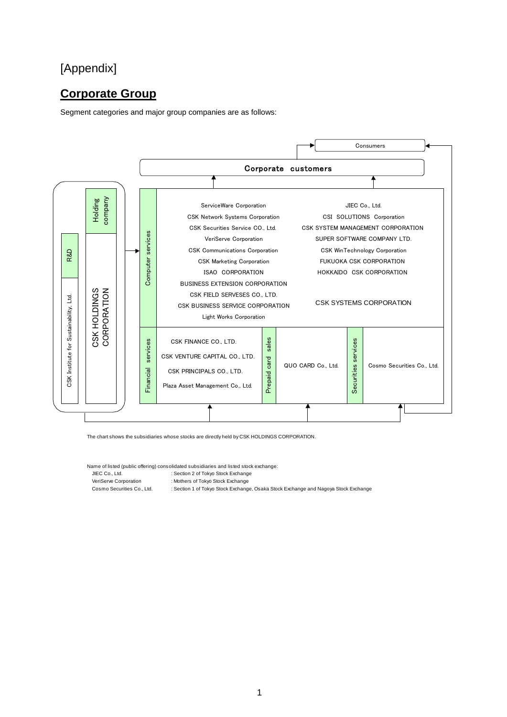# [Appendix]

# **Corporate Group**

Segment categories and major group companies are as follows:



The chart shows the subsidiaries whose stocks are directly held by CSK HOLDINGS CORPORATION.

Name of listed (public offering) consolidated subsidiaries and listed stock exchange:

JIEC Co., Ltd.  $\overline{\phantom{a}}$  : Section 2 of Tokyo Stock Exchange

VeriServe Corporation : Mothers of Tokyo Stock Exchange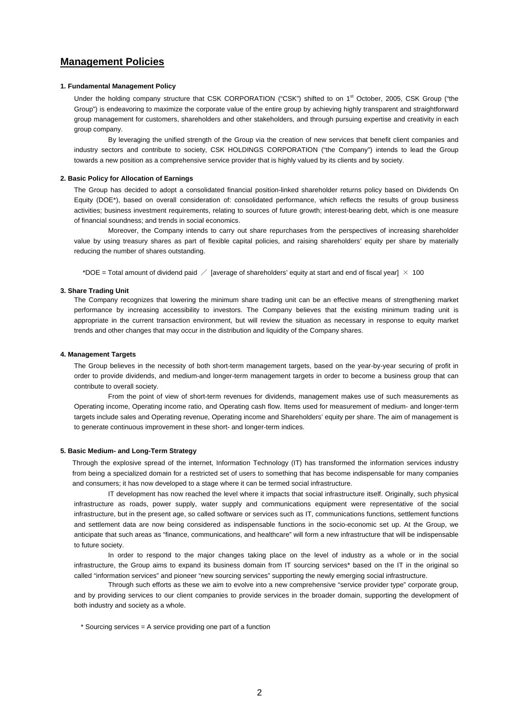## **Management Policies**

#### **1. Fundamental Management Policy**

Under the holding company structure that CSK CORPORATION ("CSK") shifted to on 1<sup>st</sup> October, 2005, CSK Group ("the Group") is endeavoring to maximize the corporate value of the entire group by achieving highly transparent and straightforward group management for customers, shareholders and other stakeholders, and through pursuing expertise and creativity in each group company.

By leveraging the unified strength of the Group via the creation of new services that benefit client companies and industry sectors and contribute to society, CSK HOLDINGS CORPORATION ("the Company") intends to lead the Group towards a new position as a comprehensive service provider that is highly valued by its clients and by society.

#### **2. Basic Policy for Allocation of Earnings**

The Group has decided to adopt a consolidated financial position-linked shareholder returns policy based on Dividends On Equity (DOE\*), based on overall consideration of: consolidated performance, which reflects the results of group business activities; business investment requirements, relating to sources of future growth; interest-bearing debt, which is one measure of financial soundness; and trends in social economics.

Moreover, the Company intends to carry out share repurchases from the perspectives of increasing shareholder value by using treasury shares as part of flexible capital policies, and raising shareholders' equity per share by materially reducing the number of shares outstanding.

\*DOE = Total amount of dividend paid  $\angle$  [average of shareholders' equity at start and end of fiscal year]  $\times$  100

#### **3. Share Trading Unit**

The Company recognizes that lowering the minimum share trading unit can be an effective means of strengthening market performance by increasing accessibility to investors. The Company believes that the existing minimum trading unit is appropriate in the current transaction environment, but will review the situation as necessary in response to equity market trends and other changes that may occur in the distribution and liquidity of the Company shares.

#### **4. Management Targets**

The Group believes in the necessity of both short-term management targets, based on the year-by-year securing of profit in order to provide dividends, and medium-and longer-term management targets in order to become a business group that can contribute to overall society.

From the point of view of short-term revenues for dividends, management makes use of such measurements as Operating income, Operating income ratio, and Operating cash flow. Items used for measurement of medium- and longer-term targets include sales and Operating revenue, Operating income and Shareholders' equity per share. The aim of management is to generate continuous improvement in these short- and longer-term indices.

#### **5. Basic Medium- and Long-Term Strategy**

Through the explosive spread of the internet, Information Technology (IT) has transformed the information services industry from being a specialized domain for a restricted set of users to something that has become indispensable for many companies and consumers; it has now developed to a stage where it can be termed social infrastructure.

IT development has now reached the level where it impacts that social infrastructure itself. Originally, such physical infrastructure as roads, power supply, water supply and communications equipment were representative of the social infrastructure, but in the present age, so called software or services such as IT, communications functions, settlement functions and settlement data are now being considered as indispensable functions in the socio-economic set up. At the Group, we anticipate that such areas as "finance, communications, and healthcare" will form a new infrastructure that will be indispensable to future society.

In order to respond to the major changes taking place on the level of industry as a whole or in the social infrastructure, the Group aims to expand its business domain from IT sourcing services\* based on the IT in the original so called "information services" and pioneer "new sourcing services" supporting the newly emerging social infrastructure.

Through such efforts as these we aim to evolve into a new comprehensive "service provider type" corporate group, and by providing services to our client companies to provide services in the broader domain, supporting the development of both industry and society as a whole.

\* Sourcing services = A service providing one part of a function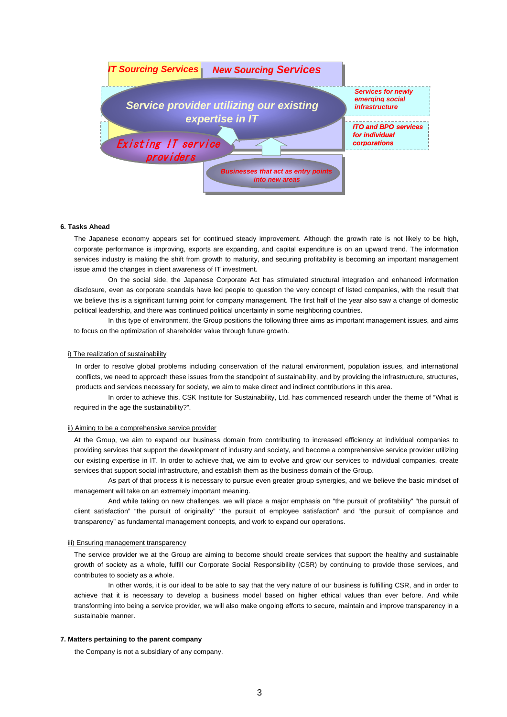

#### **6. Tasks Ahead**

The Japanese economy appears set for continued steady improvement. Although the growth rate is not likely to be high, corporate performance is improving, exports are expanding, and capital expenditure is on an upward trend. The information services industry is making the shift from growth to maturity, and securing profitability is becoming an important management issue amid the changes in client awareness of IT investment.

On the social side, the Japanese Corporate Act has stimulated structural integration and enhanced information disclosure, even as corporate scandals have led people to question the very concept of listed companies, with the result that we believe this is a significant turning point for company management. The first half of the year also saw a change of domestic political leadership, and there was continued political uncertainty in some neighboring countries.

In this type of environment, the Group positions the following three aims as important management issues, and aims to focus on the optimization of shareholder value through future growth.

#### i) The realization of sustainability

In order to resolve global problems including conservation of the natural environment, population issues, and international conflicts, we need to approach these issues from the standpoint of sustainability, and by providing the infrastructure, structures, products and services necessary for society, we aim to make direct and indirect contributions in this area.

In order to achieve this, CSK Institute for Sustainability, Ltd. has commenced research under the theme of "What is required in the age the sustainability?".

#### ii) Aiming to be a comprehensive service provider

At the Group, we aim to expand our business domain from contributing to increased efficiency at individual companies to providing services that support the development of industry and society, and become a comprehensive service provider utilizing our existing expertise in IT. In order to achieve that, we aim to evolve and grow our services to individual companies, create services that support social infrastructure, and establish them as the business domain of the Group.

As part of that process it is necessary to pursue even greater group synergies, and we believe the basic mindset of management will take on an extremely important meaning.

And while taking on new challenges, we will place a major emphasis on "the pursuit of profitability" "the pursuit of client satisfaction" "the pursuit of originality" "the pursuit of employee satisfaction" and "the pursuit of compliance and transparency" as fundamental management concepts, and work to expand our operations.

#### iii) Ensuring management transparency

The service provider we at the Group are aiming to become should create services that support the healthy and sustainable growth of society as a whole, fulfill our Corporate Social Responsibility (CSR) by continuing to provide those services, and contributes to society as a whole.

In other words, it is our ideal to be able to say that the very nature of our business is fulfilling CSR, and in order to achieve that it is necessary to develop a business model based on higher ethical values than ever before. And while transforming into being a service provider, we will also make ongoing efforts to secure, maintain and improve transparency in a sustainable manner.

#### **7. Matters pertaining to the parent company**

the Company is not a subsidiary of any company.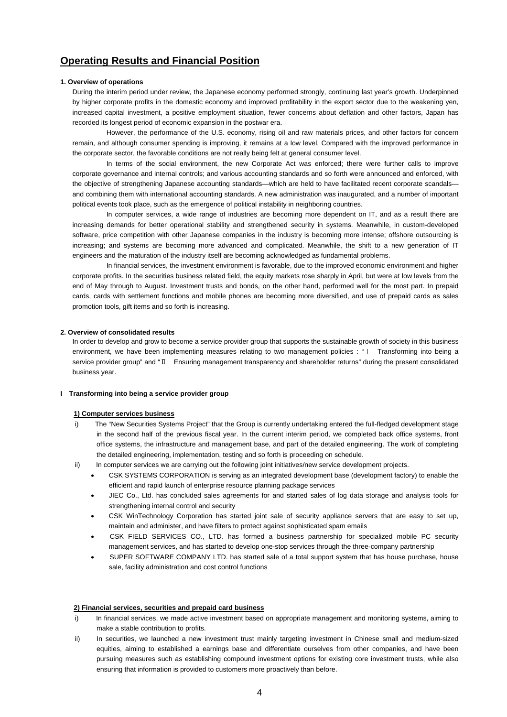## **Operating Results and Financial Position**

#### **1. Overview of operations**

During the interim period under review, the Japanese economy performed strongly, continuing last year's growth. Underpinned by higher corporate profits in the domestic economy and improved profitability in the export sector due to the weakening yen, increased capital investment, a positive employment situation, fewer concerns about deflation and other factors, Japan has recorded its longest period of economic expansion in the postwar era.

However, the performance of the U.S. economy, rising oil and raw materials prices, and other factors for concern remain, and although consumer spending is improving, it remains at a low level. Compared with the improved performance in the corporate sector, the favorable conditions are not really being felt at general consumer level.

In terms of the social environment, the new Corporate Act was enforced; there were further calls to improve corporate governance and internal controls; and various accounting standards and so forth were announced and enforced, with the objective of strengthening Japanese accounting standards—which are held to have facilitated recent corporate scandals and combining them with international accounting standards. A new administration was inaugurated, and a number of important political events took place, such as the emergence of political instability in neighboring countries.

In computer services, a wide range of industries are becoming more dependent on IT, and as a result there are increasing demands for better operational stability and strengthened security in systems. Meanwhile, in custom-developed software, price competition with other Japanese companies in the industry is becoming more intense; offshore outsourcing is increasing; and systems are becoming more advanced and complicated. Meanwhile, the shift to a new generation of IT engineers and the maturation of the industry itself are becoming acknowledged as fundamental problems.

In financial services, the investment environment is favorable, due to the improved economic environment and higher corporate profits. In the securities business related field, the equity markets rose sharply in April, but were at low levels from the end of May through to August. Investment trusts and bonds, on the other hand, performed well for the most part. In prepaid cards, cards with settlement functions and mobile phones are becoming more diversified, and use of prepaid cards as sales promotion tools, gift items and so forth is increasing.

#### **2. Overview of consolidated results**

In order to develop and grow to become a service provider group that supports the sustainable growth of society in this business environment, we have been implementing measures relating to two management policies : "Ι Transforming into being a service provider group" and "Ⅱ Ensuring management transparency and shareholder returns" during the present consolidated business year.

#### **I** Transforming into being a service provider group

### **1) Computer services business**

- i) The "New Securities Systems Project" that the Group is currently undertaking entered the full-fledged development stage in the second half of the previous fiscal year. In the current interim period, we completed back office systems, front office systems, the infrastructure and management base, and part of the detailed engineering. The work of completing the detailed engineering, implementation, testing and so forth is proceeding on schedule.
- ii) In computer services we are carrying out the following joint initiatives/new service development projects.
	- CSK SYSTEMS CORPORATION is serving as an integrated development base (development factory) to enable the efficient and rapid launch of enterprise resource planning package services
	- JIEC Co., Ltd. has concluded sales agreements for and started sales of log data storage and analysis tools for strengthening internal control and security
	- CSK WinTechnology Corporation has started joint sale of security appliance servers that are easy to set up, maintain and administer, and have filters to protect against sophisticated spam emails
	- CSK FIELD SERVICES CO., LTD. has formed a business partnership for specialized mobile PC security management services, and has started to develop one-stop services through the three-company partnership
	- SUPER SOFTWARE COMPANY LTD. has started sale of a total support system that has house purchase, house sale, facility administration and cost control functions

#### **2) Financial services, securities and prepaid card business**

- i) In financial services, we made active investment based on appropriate management and monitoring systems, aiming to make a stable contribution to profits.
- ii) In securities, we launched a new investment trust mainly targeting investment in Chinese small and medium-sized equities, aiming to established a earnings base and differentiate ourselves from other companies, and have been pursuing measures such as establishing compound investment options for existing core investment trusts, while also ensuring that information is provided to customers more proactively than before.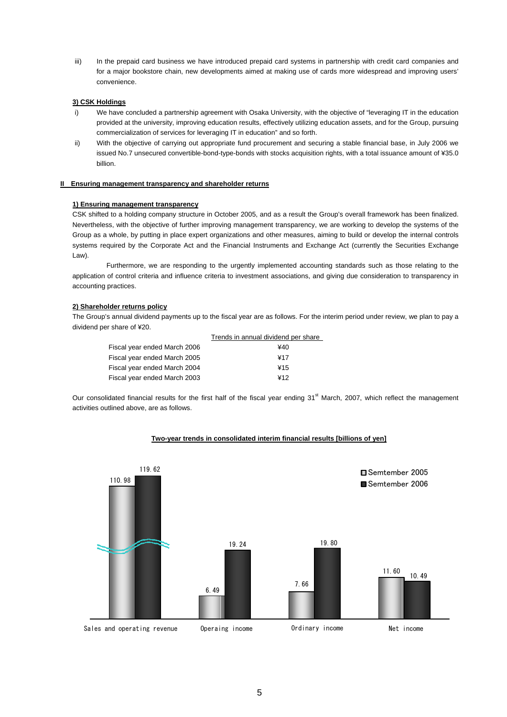iii) In the prepaid card business we have introduced prepaid card systems in partnership with credit card companies and for a major bookstore chain, new developments aimed at making use of cards more widespread and improving users' convenience.

#### **3) CSK Holdings**

- i) We have concluded a partnership agreement with Osaka University, with the objective of "leveraging IT in the education provided at the university, improving education results, effectively utilizing education assets, and for the Group, pursuing commercialization of services for leveraging IT in education" and so forth.
- ii) With the objective of carrying out appropriate fund procurement and securing a stable financial base, in July 2006 we issued No.7 unsecured convertible-bond-type-bonds with stocks acquisition rights, with a total issuance amount of ¥35.0 billion.

#### **II Ensuring management transparency and shareholder returns**

#### **1) Ensuring management transparency**

CSK shifted to a holding company structure in October 2005, and as a result the Group's overall framework has been finalized. Nevertheless, with the objective of further improving management transparency, we are working to develop the systems of the Group as a whole, by putting in place expert organizations and other measures, aiming to build or develop the internal controls systems required by the Corporate Act and the Financial Instruments and Exchange Act (currently the Securities Exchange Law).

Furthermore, we are responding to the urgently implemented accounting standards such as those relating to the application of control criteria and influence criteria to investment associations, and giving due consideration to transparency in accounting practices.

## **2) Shareholder returns policy**

The Group's annual dividend payments up to the fiscal year are as follows. For the interim period under review, we plan to pay a dividend per share of ¥20.

|                              | Trends in annual dividend per share |
|------------------------------|-------------------------------------|
| Fiscal year ended March 2006 | ¥40                                 |
| Fiscal year ended March 2005 | ¥17                                 |
| Fiscal year ended March 2004 | ¥15                                 |
| Fiscal year ended March 2003 | ¥12                                 |

Our consolidated financial results for the first half of the fiscal year ending 31<sup>st</sup> March, 2007, which reflect the management activities outlined above, are as follows.

## **Two-year trends in consolidated interim financial results [billions of yen]**

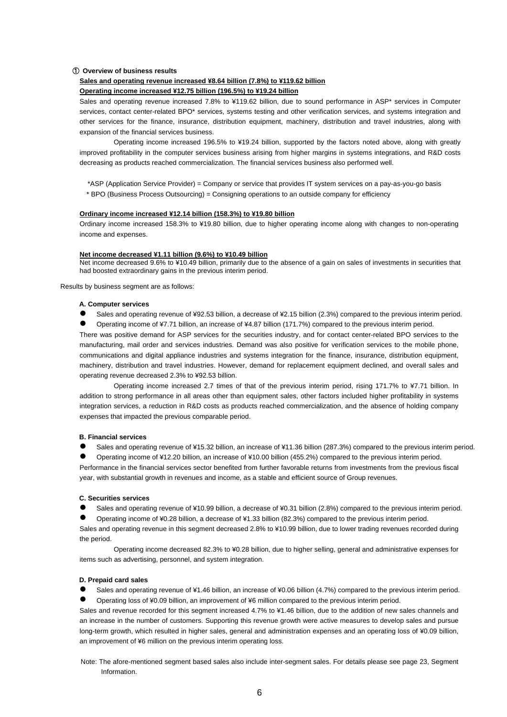#### ① **Overview of business results**

#### **Sales and operating revenue increased ¥8.64 billion (7.8%) to ¥119.62 billion**

## **Operating income increased ¥12.75 billion (196.5%) to ¥19.24 billion**

Sales and operating revenue increased 7.8% to ¥119.62 billion, due to sound performance in ASP\* services in Computer services, contact center-related BPO\* services, systems testing and other verification services, and systems integration and other services for the finance, insurance, distribution equipment, machinery, distribution and travel industries, along with expansion of the financial services business.

Operating income increased 196.5% to ¥19.24 billion, supported by the factors noted above, along with greatly improved profitability in the computer services business arising from higher margins in systems integrations, and R&D costs decreasing as products reached commercialization. The financial services business also performed well.

\*ASP (Application Service Provider) = Company or service that provides IT system services on a pay-as-you-go basis \* BPO (Business Process Outsourcing) = Consigning operations to an outside company for efficiency

#### **Ordinary income increased ¥12.14 billion (158.3%) to ¥19.80 billion**

Ordinary income increased 158.3% to ¥19.80 billion, due to higher operating income along with changes to non-operating income and expenses.

#### **Net income decreased ¥1.11 billion (9.6%) to ¥10.49 billion**

Net income decreased 9.6% to ¥10.49 billion, primarily due to the absence of a gain on sales of investments in securities that had boosted extraordinary gains in the previous interim period.

Results by business segment are as follows:

#### **A. Computer services**

Sales and operating revenue of ¥92.53 billion, a decrease of ¥2.15 billion (2.3%) compared to the previous interim period.

z Operating income of ¥7.71 billion, an increase of ¥4.87 billion (171.7%) compared to the previous interim period.

There was positive demand for ASP services for the securities industry, and for contact center-related BPO services to the manufacturing, mail order and services industries. Demand was also positive for verification services to the mobile phone, communications and digital appliance industries and systems integration for the finance, insurance, distribution equipment, machinery, distribution and travel industries. However, demand for replacement equipment declined, and overall sales and operating revenue decreased 2.3% to ¥92.53 billion.

Operating income increased 2.7 times of that of the previous interim period, rising 171.7% to ¥7.71 billion. In addition to strong performance in all areas other than equipment sales, other factors included higher profitability in systems integration services, a reduction in R&D costs as products reached commercialization, and the absence of holding company expenses that impacted the previous comparable period.

#### **B. Financial services**

● Sales and operating revenue of ¥15.32 billion, an increase of ¥11.36 billion (287.3%) compared to the previous interim period.

Operating income of ¥12.20 billion, an increase of ¥10.00 billion (455.2%) compared to the previous interim period.

Performance in the financial services sector benefited from further favorable returns from investments from the previous fiscal year, with substantial growth in revenues and income, as a stable and efficient source of Group revenues.

#### **C. Securities services**

Sales and operating revenue of ¥10.99 billion, a decrease of ¥0.31 billion (2.8%) compared to the previous interim period.

z Operating income of ¥0.28 billion, a decrease of ¥1.33 billion (82.3%) compared to the previous interim period.

Sales and operating revenue in this segment decreased 2.8% to ¥10.99 billion, due to lower trading revenues recorded during the period.

Operating income decreased 82.3% to ¥0.28 billion, due to higher selling, general and administrative expenses for items such as advertising, personnel, and system integration.

#### **D. Prepaid card sales**

● Sales and operating revenue of ¥1.46 billion, an increase of ¥0.06 billion (4.7%) compared to the previous interim period. z Operating loss of ¥0.09 billion, an improvement of ¥6 million compared to the previous interim period.

Sales and revenue recorded for this segment increased 4.7% to ¥1.46 billion, due to the addition of new sales channels and an increase in the number of customers. Supporting this revenue growth were active measures to develop sales and pursue long-term growth, which resulted in higher sales, general and administration expenses and an operating loss of ¥0.09 billion, an improvement of ¥6 million on the previous interim operating loss.

Note: The afore-mentioned segment based sales also include inter-segment sales. For details please see page 23, Segment Information.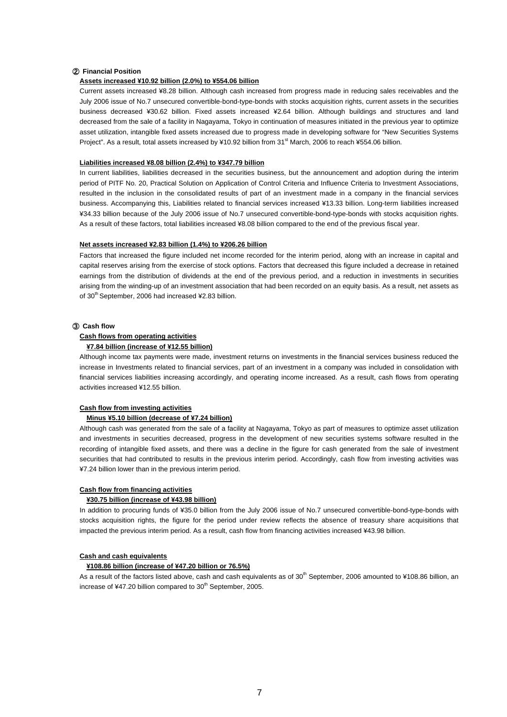#### ② **Financial Position**

#### **Assets increased ¥10.92 billion (2.0%) to ¥554.06 billion**

Current assets increased ¥8.28 billion. Although cash increased from progress made in reducing sales receivables and the July 2006 issue of No.7 unsecured convertible-bond-type-bonds with stocks acquisition rights, current assets in the securities business decreased ¥30.62 billion. Fixed assets increased ¥2.64 billion. Although buildings and structures and land decreased from the sale of a facility in Nagayama, Tokyo in continuation of measures initiated in the previous year to optimize asset utilization, intangible fixed assets increased due to progress made in developing software for "New Securities Systems Project". As a result, total assets increased by ¥10.92 billion from 31<sup>st</sup> March, 2006 to reach ¥554.06 billion.

#### **Liabilities increased ¥8.08 billion (2.4%) to ¥347.79 billion**

In current liabilities, liabilities decreased in the securities business, but the announcement and adoption during the interim period of PITF No. 20, Practical Solution on Application of Control Criteria and Influence Criteria to Investment Associations, resulted in the inclusion in the consolidated results of part of an investment made in a company in the financial services business. Accompanying this, Liabilities related to financial services increased ¥13.33 billion. Long-term liabilities increased ¥34.33 billion because of the July 2006 issue of No.7 unsecured convertible-bond-type-bonds with stocks acquisition rights. As a result of these factors, total liabilities increased ¥8.08 billion compared to the end of the previous fiscal year.

#### **Net assets increased ¥2.83 billion (1.4%) to ¥206.26 billion**

Factors that increased the figure included net income recorded for the interim period, along with an increase in capital and capital reserves arising from the exercise of stock options. Factors that decreased this figure included a decrease in retained earnings from the distribution of dividends at the end of the previous period, and a reduction in investments in securities arising from the winding-up of an investment association that had been recorded on an equity basis. As a result, net assets as of 30<sup>th</sup> September, 2006 had increased ¥2.83 billion.

#### ③ **Cash flow**

#### **Cash flows from operating activities**

### **¥7.84 billion (increase of ¥12.55 billion)**

Although income tax payments were made, investment returns on investments in the financial services business reduced the increase in Investments related to financial services, part of an investment in a company was included in consolidation with financial services liabilities increasing accordingly, and operating income increased. As a result, cash flows from operating activities increased ¥12.55 billion.

#### **Cash flow from investing activities**

#### **Minus ¥5.10 billion (decrease of ¥7.24 billion)**

Although cash was generated from the sale of a facility at Nagayama, Tokyo as part of measures to optimize asset utilization and investments in securities decreased, progress in the development of new securities systems software resulted in the recording of intangible fixed assets, and there was a decline in the figure for cash generated from the sale of investment securities that had contributed to results in the previous interim period. Accordingly, cash flow from investing activities was ¥7.24 billion lower than in the previous interim period.

#### **Cash flow from financing activities**

#### **¥30.75 billion (increase of ¥43.98 billion)**

In addition to procuring funds of ¥35.0 billion from the July 2006 issue of No.7 unsecured convertible-bond-type-bonds with stocks acquisition rights, the figure for the period under review reflects the absence of treasury share acquisitions that impacted the previous interim period. As a result, cash flow from financing activities increased ¥43.98 billion.

### **Cash and cash equivalents**

#### **¥108.86 billion (increase of ¥47.20 billion or 76.5%)**

As a result of the factors listed above, cash and cash equivalents as of  $30<sup>th</sup>$  September, 2006 amounted to ¥108.86 billion, an increase of ¥47.20 billion compared to  $30<sup>th</sup>$  September, 2005.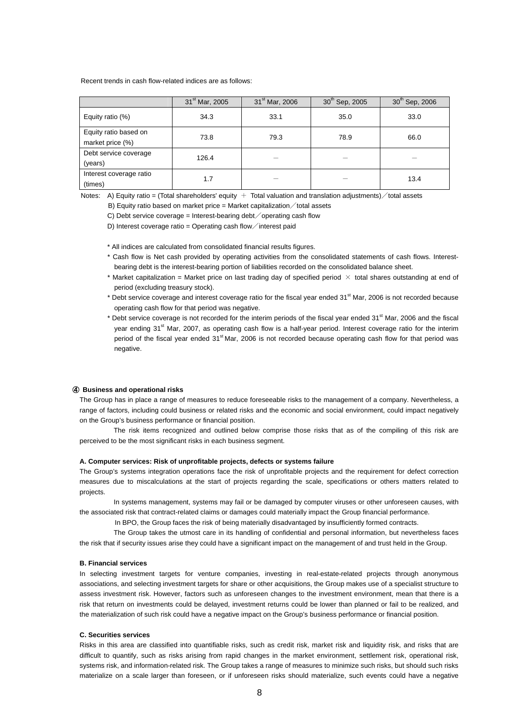#### Recent trends in cash flow-related indices are as follows:

|                                           | 31 <sup>st</sup> Mar, 2005 | 31 <sup>st</sup> Mar, 2006 | 30 <sup>th</sup> Sep, 2005 | 30 <sup>th</sup> Sep, 2006 |
|-------------------------------------------|----------------------------|----------------------------|----------------------------|----------------------------|
| Equity ratio (%)                          | 34.3                       | 33.1                       | 35.0                       | 33.0                       |
| Equity ratio based on<br>market price (%) | 73.8                       | 79.3                       | 78.9                       | 66.0                       |
| Debt service coverage<br>(years)          | 126.4                      |                            |                            |                            |
| Interest coverage ratio<br>(times)        | 1.7                        |                            |                            | 13.4                       |

Notes: A) Equity ratio = (Total shareholders' equity  $+$  Total valuation and translation adjustments)  $\diagup$  total assets

B) Equity ratio based on market price = Market capitalization  $\diagup$  total assets

C) Debt service coverage = Interest-bearing debt  $\diagup$  operating cash flow

D) Interest coverage ratio = Operating cash flow interest paid

\* All indices are calculated from consolidated financial results figures.

- \* Cash flow is Net cash provided by operating activities from the consolidated statements of cash flows. Interestbearing debt is the interest-bearing portion of liabilities recorded on the consolidated balance sheet.
- \* Market capitalization = Market price on last trading day of specified period  $\times$  total shares outstanding at end of period (excluding treasury stock).
- \* Debt service coverage and interest coverage ratio for the fiscal year ended 31<sup>st</sup> Mar, 2006 is not recorded because operating cash flow for that period was negative.
- Debt service coverage is not recorded for the interim periods of the fiscal year ended  $31<sup>st</sup>$  Mar, 2006 and the fiscal year ending 31<sup>st</sup> Mar, 2007, as operating cash flow is a half-year period. Interest coverage ratio for the interim period of the fiscal year ended 31<sup>st</sup> Mar, 2006 is not recorded because operating cash flow for that period was negative.

### ④ **Business and operational risks**

The Group has in place a range of measures to reduce foreseeable risks to the management of a company. Nevertheless, a range of factors, including could business or related risks and the economic and social environment, could impact negatively on the Group's business performance or financial position.

The risk items recognized and outlined below comprise those risks that as of the compiling of this risk are perceived to be the most significant risks in each business segment.

#### **A. Computer services: Risk of unprofitable projects, defects or systems failure**

The Group's systems integration operations face the risk of unprofitable projects and the requirement for defect correction measures due to miscalculations at the start of projects regarding the scale, specifications or others matters related to projects.

In systems management, systems may fail or be damaged by computer viruses or other unforeseen causes, with the associated risk that contract-related claims or damages could materially impact the Group financial performance.

In BPO, the Group faces the risk of being materially disadvantaged by insufficiently formed contracts.

The Group takes the utmost care in its handling of confidential and personal information, but nevertheless faces the risk that if security issues arise they could have a significant impact on the management of and trust held in the Group.

#### **B. Financial services**

In selecting investment targets for venture companies, investing in real-estate-related projects through anonymous associations, and selecting investment targets for share or other acquisitions, the Group makes use of a specialist structure to assess investment risk. However, factors such as unforeseen changes to the investment environment, mean that there is a risk that return on investments could be delayed, investment returns could be lower than planned or fail to be realized, and the materialization of such risk could have a negative impact on the Group's business performance or financial position.

#### **C. Securities services**

Risks in this area are classified into quantifiable risks, such as credit risk, market risk and liquidity risk, and risks that are difficult to quantify, such as risks arising from rapid changes in the market environment, settlement risk, operational risk, systems risk, and information-related risk. The Group takes a range of measures to minimize such risks, but should such risks materialize on a scale larger than foreseen, or if unforeseen risks should materialize, such events could have a negative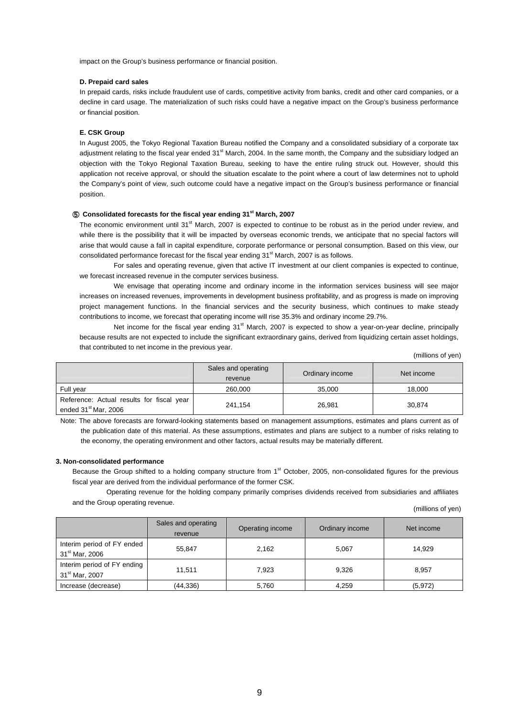impact on the Group's business performance or financial position.

#### **D. Prepaid card sales**

In prepaid cards, risks include fraudulent use of cards, competitive activity from banks, credit and other card companies, or a decline in card usage. The materialization of such risks could have a negative impact on the Group's business performance or financial position.

#### **E. CSK Group**

In August 2005, the Tokyo Regional Taxation Bureau notified the Company and a consolidated subsidiary of a corporate tax adjustment relating to the fiscal year ended 31<sup>st</sup> March, 2004. In the same month, the Company and the subsidiary lodged an objection with the Tokyo Regional Taxation Bureau, seeking to have the entire ruling struck out. However, should this application not receive approval, or should the situation escalate to the point where a court of law determines not to uphold the Company's point of view, such outcome could have a negative impact on the Group's business performance or financial position.

### ⑤ **Consolidated forecasts for the fiscal year ending 31st March, 2007**

The economic environment until 31<sup>st</sup> March, 2007 is expected to continue to be robust as in the period under review, and while there is the possibility that it will be impacted by overseas economic trends, we anticipate that no special factors will arise that would cause a fall in capital expenditure, corporate performance or personal consumption. Based on this view, our consolidated performance forecast for the fiscal year ending  $31<sup>st</sup>$  March, 2007 is as follows.

For sales and operating revenue, given that active IT investment at our client companies is expected to continue, we forecast increased revenue in the computer services business.

We envisage that operating income and ordinary income in the information services business will see major increases on increased revenues, improvements in development business profitability, and as progress is made on improving project management functions. In the financial services and the security business, which continues to make steady contributions to income, we forecast that operating income will rise 35.3% and ordinary income 29.7%.

Net income for the fiscal year ending 31<sup>st</sup> March, 2007 is expected to show a year-on-year decline, principally because results are not expected to include the significant extraordinary gains, derived from liquidizing certain asset holdings, that contributed to net income in the previous year.

(millions of yen)

|                                                                               | Sales and operating<br>revenue | Ordinary income | Net income |
|-------------------------------------------------------------------------------|--------------------------------|-----------------|------------|
| Full year                                                                     | 260,000                        | 35,000          | 18.000     |
| Reference: Actual results for fiscal year<br>ended 31 <sup>st</sup> Mar, 2006 | 241.154                        | 26,981          | 30,874     |

Note: The above forecasts are forward-looking statements based on management assumptions, estimates and plans current as of the publication date of this material. As these assumptions, estimates and plans are subject to a number of risks relating to the economy, the operating environment and other factors, actual results may be materially different.

#### **3. Non-consolidated performance**

Because the Group shifted to a holding company structure from 1<sup>st</sup> October, 2005, non-consolidated figures for the previous fiscal year are derived from the individual performance of the former CSK.

Operating revenue for the holding company primarily comprises dividends received from subsidiaries and affiliates and the Group operating revenue.

(millions of yen)

|                                                           | Sales and operating<br>revenue | Operating income | Ordinary income | Net income |
|-----------------------------------------------------------|--------------------------------|------------------|-----------------|------------|
| Interim period of FY ended<br>31 <sup>st</sup> Mar, 2006  | 55.847                         | 2.162            | 5.067           | 14.929     |
| Interim period of FY ending<br>31 <sup>st</sup> Mar, 2007 | 11.511                         | 7.923            | 9,326           | 8,957      |
| Increase (decrease)                                       | (44, 336)                      | 5.760            | 4,259           | (5, 972)   |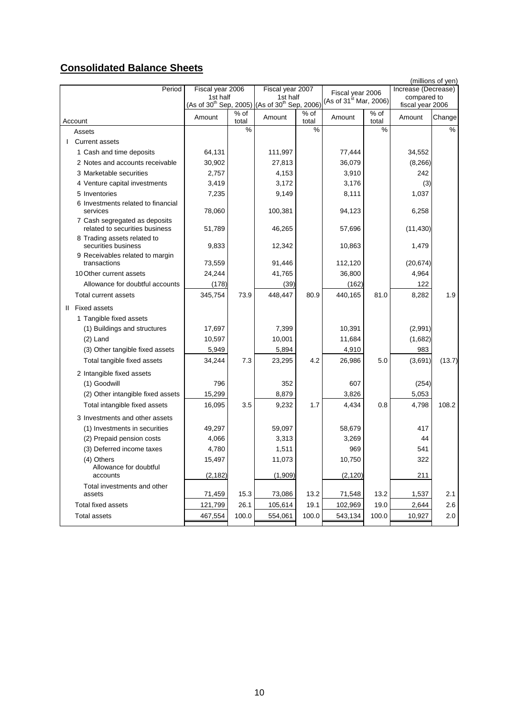# **Consolidated Balance Sheets**

|                                                                 |                                                                       |                 |                              |                           |                             |               |                                    | (millions of yen) |
|-----------------------------------------------------------------|-----------------------------------------------------------------------|-----------------|------------------------------|---------------------------|-----------------------------|---------------|------------------------------------|-------------------|
| Period                                                          | Fiscal year 2006<br>1st half                                          |                 | Fiscal year 2007<br>1st half |                           | Fiscal year 2006            |               | Increase (Decrease)<br>compared to |                   |
|                                                                 | (As of 30 <sup>th</sup> Sep, 2005) (As of 30 <sup>th</sup> Sep, 2006) |                 |                              |                           | (As of $31^{st}$ Mar, 2006) |               | fiscal year 2006                   |                   |
| Account                                                         | Amount                                                                | $%$ of<br>total | Amount                       | $\frac{1}{6}$ of<br>total | Amount                      | % of<br>total | Amount                             | Change            |
| Assets                                                          |                                                                       | $\frac{0}{0}$   |                              | %                         |                             | $\frac{0}{0}$ |                                    | %                 |
| <b>Current assets</b>                                           |                                                                       |                 |                              |                           |                             |               |                                    |                   |
| 1 Cash and time deposits                                        | 64,131                                                                |                 | 111,997                      |                           | 77,444                      |               | 34,552                             |                   |
| 2 Notes and accounts receivable                                 | 30,902                                                                |                 | 27,813                       |                           | 36,079                      |               | (8, 266)                           |                   |
| 3 Marketable securities                                         | 2.757                                                                 |                 | 4,153                        |                           | 3,910                       |               | 242                                |                   |
| 4 Venture capital investments                                   | 3,419                                                                 |                 | 3,172                        |                           | 3,176                       |               | (3)                                |                   |
| 5 Inventories                                                   | 7,235                                                                 |                 | 9,149                        |                           | 8,111                       |               | 1,037                              |                   |
| 6 Investments related to financial<br>services                  | 78,060                                                                |                 | 100,381                      |                           | 94,123                      |               | 6,258                              |                   |
| 7 Cash segregated as deposits<br>related to securities business | 51,789                                                                |                 | 46,265                       |                           | 57,696                      |               | (11, 430)                          |                   |
| 8 Trading assets related to<br>securities business              | 9,833                                                                 |                 | 12,342                       |                           | 10,863                      |               | 1,479                              |                   |
| 9 Receivables related to margin                                 |                                                                       |                 |                              |                           |                             |               |                                    |                   |
| transactions                                                    | 73,559                                                                |                 | 91,446                       |                           | 112,120                     |               | (20, 674)                          |                   |
| 10 Other current assets                                         | 24,244                                                                |                 | 41,765                       |                           | 36,800                      |               | 4,964                              |                   |
| Allowance for doubtful accounts                                 | (178)                                                                 |                 | (39)                         |                           | (162)                       |               | 122                                |                   |
| Total current assets                                            | 345,754                                                               | 73.9            | 448,447                      | 80.9                      | 440,165                     | 81.0          | 8,282                              | 1.9               |
| II Fixed assets                                                 |                                                                       |                 |                              |                           |                             |               |                                    |                   |
| 1 Tangible fixed assets                                         |                                                                       |                 |                              |                           |                             |               |                                    |                   |
| (1) Buildings and structures                                    | 17,697                                                                |                 | 7,399                        |                           | 10,391                      |               | (2,991)                            |                   |
| $(2)$ Land                                                      | 10,597                                                                |                 | 10,001                       |                           | 11,684                      |               | (1,682)                            |                   |
| (3) Other tangible fixed assets                                 | 5,949                                                                 |                 | 5,894                        |                           | 4,910                       |               | 983                                |                   |
| Total tangible fixed assets                                     | 34,244                                                                | 7.3             | 23,295                       | 4.2                       | 26,986                      | 5.0           | (3,691)                            | (13.7)            |
| 2 Intangible fixed assets                                       |                                                                       |                 |                              |                           |                             |               |                                    |                   |
| (1) Goodwill                                                    | 796                                                                   |                 | 352                          |                           | 607                         |               | (254)                              |                   |
| (2) Other intangible fixed assets                               | 15,299                                                                |                 | 8,879                        |                           | 3,826                       |               | 5,053                              |                   |
| Total intangible fixed assets                                   | 16,095                                                                | 3.5             | 9,232                        | 1.7                       | 4,434                       | 0.8           | 4,798                              | 108.2             |
| 3 Investments and other assets                                  |                                                                       |                 |                              |                           |                             |               |                                    |                   |
| (1) Investments in securities                                   | 49,297                                                                |                 | 59,097                       |                           | 58,679                      |               | 417                                |                   |
| (2) Prepaid pension costs                                       | 4,066                                                                 |                 | 3,313                        |                           | 3,269                       |               | 44                                 |                   |
| (3) Deferred income taxes                                       | 4,780                                                                 |                 | 1,511                        |                           | 969                         |               | 541                                |                   |
| (4) Others<br>Allowance for doubtful                            | 15,497                                                                |                 | 11,073                       |                           | 10,750                      |               | 322                                |                   |
| accounts                                                        | (2, 182)                                                              |                 | (1,909)                      |                           | (2, 120)                    |               | 211                                |                   |
| Total investments and other<br>assets                           | 71,459                                                                | 15.3            | 73,086                       | 13.2                      | 71,548                      | 13.2          | 1,537                              | 2.1               |
| Total fixed assets                                              | 121,799                                                               | 26.1            | 105,614                      | 19.1                      | 102,969                     | 19.0          | 2,644                              | 2.6               |
| <b>Total assets</b>                                             | 467,554                                                               | 100.0           | 554,061                      | 100.0                     | 543,134                     | 100.0         | 10,927                             | 2.0               |
|                                                                 |                                                                       |                 |                              |                           |                             |               |                                    |                   |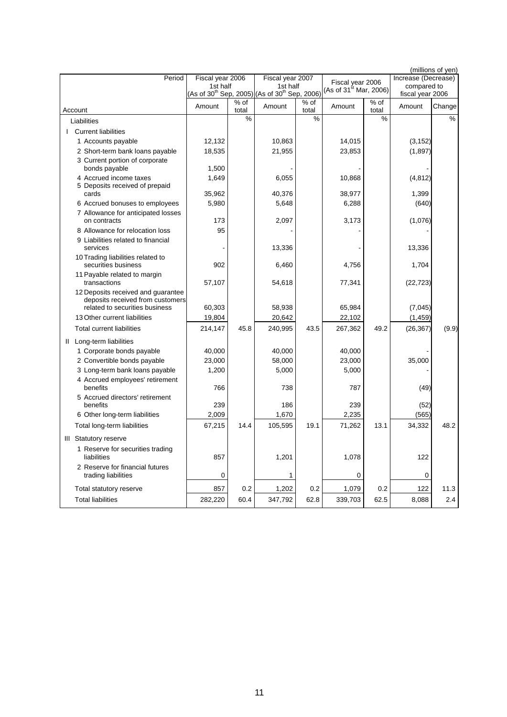|                                                                                                          |                  |               |                                                                                   |                 |                                    |               |                                 | (millions of yen) |
|----------------------------------------------------------------------------------------------------------|------------------|---------------|-----------------------------------------------------------------------------------|-----------------|------------------------------------|---------------|---------------------------------|-------------------|
| Period                                                                                                   | Fiscal year 2006 |               | Fiscal year 2007                                                                  |                 | Fiscal year 2006                   |               | Increase (Decrease)             |                   |
|                                                                                                          | 1st half         |               | 1st half<br>(As of 30 <sup>th</sup> Sep, 2005) (As of 30 <sup>th</sup> Sep, 2006) |                 | (As of 31 <sup>st</sup> Mar, 2006) |               | compared to<br>fiscal year 2006 |                   |
| Account                                                                                                  | Amount           | % of<br>total | Amount                                                                            | $%$ of<br>total | Amount                             | % of<br>total | Amount                          | Change            |
| Liabilities                                                                                              |                  | %             |                                                                                   | %               |                                    | %             |                                 | %                 |
| <b>I</b> Current liabilities                                                                             |                  |               |                                                                                   |                 |                                    |               |                                 |                   |
| 1 Accounts payable                                                                                       | 12,132           |               | 10,863                                                                            |                 | 14,015                             |               | (3, 152)                        |                   |
| 2 Short-term bank loans payable                                                                          | 18,535           |               | 21,955                                                                            |                 | 23,853                             |               | (1, 897)                        |                   |
| 3 Current portion of corporate<br>bonds payable                                                          | 1,500            |               |                                                                                   |                 |                                    |               |                                 |                   |
| 4 Accrued income taxes                                                                                   | 1,649            |               | 6,055                                                                             |                 | 10,868                             |               | (4, 812)                        |                   |
| 5 Deposits received of prepaid<br>cards                                                                  | 35,962           |               | 40,376                                                                            |                 | 38,977                             |               | 1,399                           |                   |
| 6 Accrued bonuses to employees                                                                           | 5,980            |               | 5,648                                                                             |                 | 6,288                              |               | (640)                           |                   |
| 7 Allowance for anticipated losses<br>on contracts                                                       | 173              |               | 2,097                                                                             |                 | 3,173                              |               | (1,076)                         |                   |
| 8 Allowance for relocation loss                                                                          | 95               |               |                                                                                   |                 |                                    |               |                                 |                   |
| 9 Liabilities related to financial<br>services                                                           |                  |               | 13,336                                                                            |                 |                                    |               | 13,336                          |                   |
| 10 Trading liabilities related to<br>securities business                                                 | 902              |               | 6,460                                                                             |                 | 4,756                              |               | 1,704                           |                   |
| 11 Payable related to margin<br>transactions                                                             | 57,107           |               | 54,618                                                                            |                 | 77,341                             |               | (22, 723)                       |                   |
| 12 Deposits received and guarantee<br>deposits received from customers<br>related to securities business | 60,303           |               | 58,938                                                                            |                 | 65,984                             |               | (7,045)                         |                   |
| 13 Other current liabilities                                                                             | 19,804           |               | 20,642                                                                            |                 | 22,102                             |               | (1, 459)                        |                   |
| <b>Total current liabilities</b>                                                                         | 214,147          | 45.8          | 240,995                                                                           | 43.5            | 267,362                            | 49.2          | (26, 367)                       | (9.9)             |
| II Long-term liabilities                                                                                 |                  |               |                                                                                   |                 |                                    |               |                                 |                   |
| 1 Corporate bonds payable                                                                                | 40,000           |               | 40,000                                                                            |                 | 40,000                             |               |                                 |                   |
| 2 Convertible bonds payable                                                                              | 23,000           |               | 58,000                                                                            |                 | 23,000                             |               | 35,000                          |                   |
| 3 Long-term bank loans payable                                                                           | 1,200            |               | 5,000                                                                             |                 | 5,000                              |               |                                 |                   |
| 4 Accrued employees' retirement<br>benefits                                                              | 766              |               | 738                                                                               |                 | 787                                |               | (49)                            |                   |
| 5 Accrued directors' retirement                                                                          |                  |               |                                                                                   |                 |                                    |               |                                 |                   |
| benefits                                                                                                 | 239              |               | 186                                                                               |                 | 239<br>2,235                       |               | (52)                            |                   |
| 6 Other long-term liabilities                                                                            | 2,009            |               | 1,670                                                                             |                 |                                    |               | (565)                           |                   |
| Total long-term liabilities                                                                              | 67,215           | 14.4          | 105,595                                                                           | 19.1            | 71,262                             | 13.1          | 34,332                          | 48.2              |
| III Statutory reserve                                                                                    |                  |               |                                                                                   |                 |                                    |               |                                 |                   |
| 1 Reserve for securities trading<br>liabilities                                                          | 857              |               | 1,201                                                                             |                 | 1,078                              |               | 122                             |                   |
| 2 Reserve for financial futures<br>trading liabilities                                                   | $\mathbf 0$      |               | 1                                                                                 |                 | 0                                  |               | 0                               |                   |
| Total statutory reserve                                                                                  | 857              | 0.2           | 1,202                                                                             | 0.2             | 1,079                              | 0.2           | 122                             | 11.3              |
| <b>Total liabilities</b>                                                                                 | 282,220          | 60.4          | 347,792                                                                           | 62.8            | 339,703                            | 62.5          | 8,088                           | 2.4               |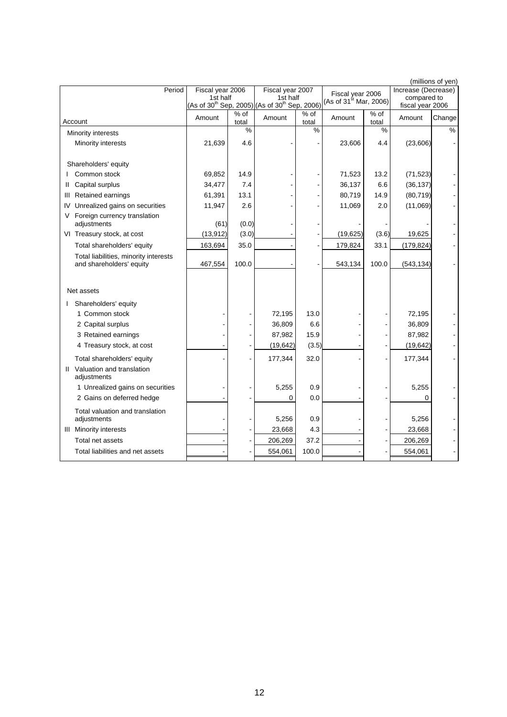|                                                                   |                  |               |                                                                                   |               |                             |                 |                                 | (millions of yen) |
|-------------------------------------------------------------------|------------------|---------------|-----------------------------------------------------------------------------------|---------------|-----------------------------|-----------------|---------------------------------|-------------------|
| Period                                                            | Fiscal year 2006 |               | Fiscal year 2007                                                                  |               | Fiscal year 2006            |                 | Increase (Decrease)             |                   |
|                                                                   | 1st half         |               | 1st half<br>(As of 30 <sup>th</sup> Sep, 2005) (As of 30 <sup>th</sup> Sep, 2006) |               | (As of $31^{st}$ Mar, 2006) |                 | compared to<br>fiscal year 2006 |                   |
| Account                                                           | Amount           | % of<br>total | Amount                                                                            | % of<br>total | Amount                      | $%$ of<br>total | Amount                          | Change            |
| Minority interests                                                |                  | %             |                                                                                   | %             |                             | $\%$            |                                 | %                 |
| Minority interests                                                | 21,639           | 4.6           |                                                                                   |               | 23,606                      | 4.4             | (23,606)                        |                   |
| Shareholders' equity                                              |                  |               |                                                                                   |               |                             |                 |                                 |                   |
| Common stock                                                      | 69,852           | 14.9          |                                                                                   |               | 71,523                      | 13.2            | (71, 523)                       |                   |
| Capital surplus<br>Ш                                              | 34,477           | 7.4           |                                                                                   |               | 36,137                      | 6.6             | (36, 137)                       |                   |
| Retained earnings<br>Ш                                            | 61,391           | 13.1          |                                                                                   |               | 80,719                      | 14.9            | (80, 719)                       |                   |
| Unrealized gains on securities<br>IV                              | 11,947           | 2.6           |                                                                                   |               | 11,069                      | 2.0             | (11,069)                        |                   |
| Foreign currency translation                                      |                  |               |                                                                                   |               |                             |                 |                                 |                   |
| adjustments                                                       | (61)             | (0.0)         |                                                                                   |               |                             |                 |                                 |                   |
| VI Treasury stock, at cost                                        | (13, 912)        | (3.0)         |                                                                                   |               | (19, 625)                   | (3.6)           | 19,625                          |                   |
| Total shareholders' equity                                        | 163,694          | 35.0          |                                                                                   |               | 179,824                     | 33.1            | (179, 824)                      |                   |
| Total liabilities, minority interests<br>and shareholders' equity | 467,554          | 100.0         |                                                                                   |               | 543,134                     | 100.0           | (543, 134)                      |                   |
|                                                                   |                  |               |                                                                                   |               |                             |                 |                                 |                   |
| Net assets                                                        |                  |               |                                                                                   |               |                             |                 |                                 |                   |
| Shareholders' equity                                              |                  |               |                                                                                   |               |                             |                 |                                 |                   |
| 1 Common stock                                                    |                  |               | 72,195                                                                            | 13.0          |                             |                 | 72,195                          |                   |
| 2 Capital surplus                                                 |                  |               | 36,809                                                                            | 6.6           |                             |                 | 36,809                          |                   |
| 3 Retained earnings                                               |                  |               | 87,982                                                                            | 15.9          |                             |                 | 87,982                          |                   |
| 4 Treasury stock, at cost                                         |                  |               | (19, 642)                                                                         | (3.5)         |                             |                 | (19, 642)                       |                   |
| Total shareholders' equity                                        |                  |               | 177,344                                                                           | 32.0          |                             |                 | 177,344                         |                   |
| Valuation and translation<br>Ш.<br>adjustments                    |                  |               |                                                                                   |               |                             |                 |                                 |                   |
| 1 Unrealized gains on securities                                  |                  |               | 5,255                                                                             | 0.9           |                             |                 | 5,255                           |                   |
| 2 Gains on deferred hedge                                         |                  |               | $\Omega$                                                                          | 0.0           |                             |                 | $\Omega$                        |                   |
| Total valuation and translation<br>adjustments                    |                  |               | 5,256                                                                             | 0.9           |                             |                 | 5,256                           |                   |
| <b>III</b> Minority interests                                     |                  |               | 23,668                                                                            | 4.3           |                             |                 | 23,668                          |                   |
| Total net assets                                                  |                  |               | 206,269                                                                           | 37.2          |                             |                 | 206,269                         |                   |
| Total liabilities and net assets                                  |                  |               | 554,061                                                                           | 100.0         |                             |                 | 554,061                         |                   |
|                                                                   |                  |               |                                                                                   |               |                             |                 |                                 |                   |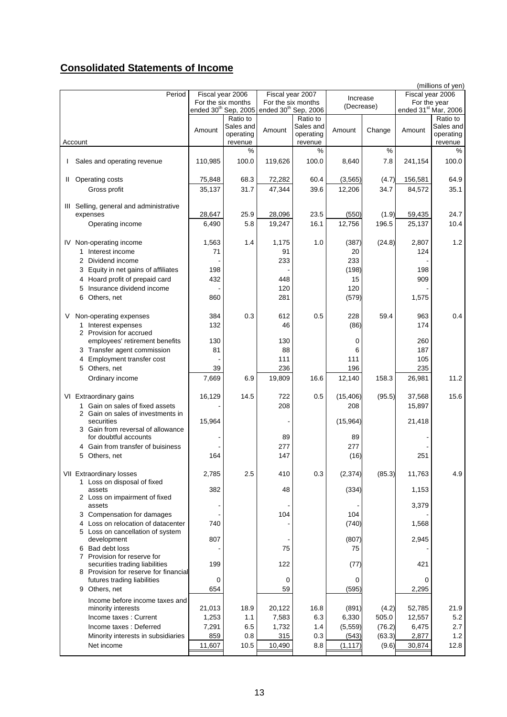# **Consolidated Statements of Income**

|  |   |                                                 |         |                                  |                                  |           |            |        |                  | (millions of yen)                |
|--|---|-------------------------------------------------|---------|----------------------------------|----------------------------------|-----------|------------|--------|------------------|----------------------------------|
|  |   | Period                                          |         | Fiscal year 2006                 | Fiscal year 2007                 |           | Increase   |        | Fiscal year 2006 |                                  |
|  |   |                                                 |         | For the six months               | For the six months               |           | (Decrease) |        | For the year     |                                  |
|  |   |                                                 |         | ended 30 <sup>th</sup> Sep, 2005 | ended 30 <sup>th</sup> Sep, 2006 |           |            |        |                  | ended 31 <sup>st</sup> Mar, 2006 |
|  |   |                                                 |         | Ratio to                         |                                  | Ratio to  |            |        |                  | Ratio to                         |
|  |   |                                                 | Amount  | Sales and                        | Amount                           | Sales and | Amount     | Change | Amount           | Sales and                        |
|  |   |                                                 |         | operating                        |                                  | operating |            |        |                  | operating                        |
|  |   | Account                                         |         | revenue                          |                                  | revenue   |            |        |                  | revenue                          |
|  |   |                                                 |         | %                                |                                  | %         |            | %      |                  | $\%$                             |
|  |   | I Sales and operating revenue                   | 110,985 | 100.0                            | 119,626                          | 100.0     | 8,640      | 7.8    | 241,154          | 100.0                            |
|  |   |                                                 |         |                                  |                                  |           |            |        |                  |                                  |
|  |   | II Operating costs                              | 75,848  | 68.3                             | 72,282                           | 60.4      | (3, 565)   | (4.7)  | 156,581          | 64.9                             |
|  |   | Gross profit                                    | 35,137  | 31.7                             | 47,344                           | 39.6      | 12,206     | 34.7   | 84,572           | 35.1                             |
|  |   |                                                 |         |                                  |                                  |           |            |        |                  |                                  |
|  |   | III Selling, general and administrative         |         |                                  |                                  |           |            |        |                  |                                  |
|  |   | expenses                                        | 28,647  | 25.9                             | 28,096                           | 23.5      | (550)      | (1.9)  | 59,435           | 24.7                             |
|  |   | Operating income                                | 6,490   | 5.8                              | 19,247                           | 16.1      | 12,756     | 196.5  | 25,137           | 10.4                             |
|  |   |                                                 |         |                                  |                                  |           |            |        |                  |                                  |
|  |   |                                                 | 1,563   |                                  | 1,175                            | 1.0       |            | (24.8) | 2,807            | 1.2                              |
|  |   | IV Non-operating income                         |         | 1.4                              |                                  |           | (387)      |        |                  |                                  |
|  |   | 1 Interest income                               | 71      |                                  | 91                               |           | 20         |        | 124              |                                  |
|  |   | 2 Dividend income                               |         |                                  | 233                              |           | 233        |        |                  |                                  |
|  |   | 3 Equity in net gains of affiliates             | 198     |                                  |                                  |           | (198)      |        | 198              |                                  |
|  |   | 4 Hoard profit of prepaid card                  | 432     |                                  | 448                              |           | 15         |        | 909              |                                  |
|  |   | Insurance dividend income<br>5                  |         |                                  | 120                              |           | 120        |        |                  |                                  |
|  |   | 6<br>Others, net                                | 860     |                                  | 281                              |           | (579)      |        | 1,575            |                                  |
|  |   |                                                 |         |                                  |                                  |           |            |        |                  |                                  |
|  | V | Non-operating expenses                          | 384     | 0.3                              | 612                              | 0.5       | 228        | 59.4   | 963              | 0.4                              |
|  |   | 1 Interest expenses                             | 132     |                                  | 46                               |           | (86)       |        | 174              |                                  |
|  |   | 2 Provision for accrued                         |         |                                  |                                  |           |            |        |                  |                                  |
|  |   | employees' retirement benefits                  | 130     |                                  | 130                              |           | 0          |        | 260              |                                  |
|  |   | 3 Transfer agent commission                     | 81      |                                  | 88                               |           | 6          |        | 187              |                                  |
|  |   | Employment transfer cost<br>4                   |         |                                  | 111                              |           | 111        |        | 105              |                                  |
|  |   |                                                 |         |                                  |                                  |           |            |        |                  |                                  |
|  |   | 5 Others, net                                   | 39      |                                  | 236                              |           | 196        |        | 235              |                                  |
|  |   | Ordinary income                                 | 7,669   | 6.9                              | 19,809                           | 16.6      | 12,140     | 158.3  | 26,981           | 11.2                             |
|  |   |                                                 |         |                                  |                                  |           |            |        |                  |                                  |
|  |   | VI Extraordinary gains                          | 16,129  | 14.5                             | 722                              | 0.5       | (15, 406)  | (95.5) | 37,568           | 15.6                             |
|  |   | 1 Gain on sales of fixed assets                 |         |                                  | 208                              |           | 208        |        | 15,897           |                                  |
|  |   | 2 Gain on sales of investments in               |         |                                  |                                  |           |            |        |                  |                                  |
|  |   | securities<br>3 Gain from reversal of allowance | 15,964  |                                  |                                  |           | (15,964)   |        | 21,418           |                                  |
|  |   | for doubtful accounts                           |         |                                  | 89                               |           | 89         |        |                  |                                  |
|  |   | Gain from transfer of buisiness                 |         |                                  | 277                              |           | 277        |        |                  |                                  |
|  |   |                                                 |         |                                  |                                  |           |            |        |                  |                                  |
|  |   | 5<br>Others, net                                | 164     |                                  | 147                              |           | (16)       |        | 251              |                                  |
|  |   |                                                 |         |                                  |                                  |           |            |        |                  |                                  |
|  |   | VII Extraordinary losses                        | 2,785   | 2.5                              | 410                              | 0.3       | (2, 374)   | (85.3) | 11,763           | 4.9                              |
|  |   | 1 Loss on disposal of fixed<br>assets           | 382     |                                  | 48                               |           | (334)      |        | 1,153            |                                  |
|  |   | 2 Loss on impairment of fixed                   |         |                                  |                                  |           |            |        |                  |                                  |
|  |   | assets                                          |         |                                  |                                  |           |            |        | 3,379            |                                  |
|  |   | 3 Compensation for damages                      |         |                                  | 104                              |           | 104        |        |                  |                                  |
|  |   | 4 Loss on relocation of datacenter              | 740     |                                  |                                  |           | (740)      |        |                  |                                  |
|  |   | 5 Loss on cancellation of system                |         |                                  |                                  |           |            |        | 1,568            |                                  |
|  |   | development                                     | 807     |                                  |                                  |           | (807)      |        | 2,945            |                                  |
|  |   | 6 Bad debt loss                                 |         |                                  | 75                               |           | 75         |        |                  |                                  |
|  |   | 7 Provision for reserve for                     |         |                                  |                                  |           |            |        |                  |                                  |
|  |   | securities trading liabilities                  | 199     |                                  | 122                              |           | (77)       |        | 421              |                                  |
|  |   | 8 Provision for reserve for financial           |         |                                  |                                  |           |            |        |                  |                                  |
|  |   | futures trading liabilities                     | 0       |                                  | 0                                |           | 0          |        | 0                |                                  |
|  |   | Others, net<br>9                                | 654     |                                  | 59                               |           | (595)      |        | 2,295            |                                  |
|  |   |                                                 |         |                                  |                                  |           |            |        |                  |                                  |
|  |   | Income before income taxes and                  |         |                                  |                                  |           |            |        |                  |                                  |
|  |   | minority interests                              | 21,013  | 18.9                             | 20,122                           | 16.8      | (891)      | (4.2)  | 52,785           | 21.9                             |
|  |   | Income taxes: Current                           | 1,253   | 1.1                              | 7,583                            | 6.3       | 6,330      | 505.0  | 12,557           | 5.2                              |
|  |   | Income taxes: Deferred                          | 7,291   | 6.5                              | 1,732                            | 1.4       | (5, 559)   | (76.2) | 6,475            | 2.7                              |
|  |   | Minority interests in subsidiaries              | 859     | 0.8                              | 315                              | 0.3       | (543)      | (63.3) | 2,877            | 1.2                              |
|  |   | Net income                                      | 11,607  | 10.5                             | 10,490                           | 8.8       | (1, 117)   | (9.6)  | 30,874           | 12.8                             |
|  |   |                                                 |         |                                  |                                  |           |            |        |                  |                                  |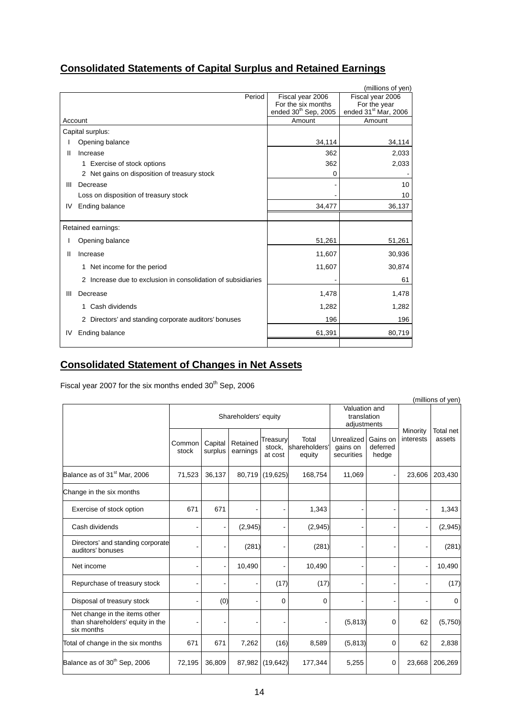|  | <b>Consolidated Statements of Capital Surplus and Retained Earnings</b> |  |  |  |
|--|-------------------------------------------------------------------------|--|--|--|
|--|-------------------------------------------------------------------------|--|--|--|

|    |                                                              |                                  | (millions of yen)                |
|----|--------------------------------------------------------------|----------------------------------|----------------------------------|
|    | Period                                                       | Fiscal year 2006                 | Fiscal year 2006                 |
|    |                                                              | For the six months               | For the year                     |
|    |                                                              | ended 30 <sup>th</sup> Sep, 2005 | ended 31 <sup>st</sup> Mar, 2006 |
|    | Account                                                      | Amount                           | Amount                           |
|    | Capital surplus:                                             |                                  |                                  |
|    | Opening balance                                              | 34,114                           | 34,114                           |
| Ш  | Increase                                                     | 362                              | 2,033                            |
|    | 1 Exercise of stock options                                  | 362                              | 2,033                            |
|    | 2 Net gains on disposition of treasury stock                 | $\Omega$                         |                                  |
| Ш  | Decrease                                                     |                                  | 10                               |
|    | Loss on disposition of treasury stock                        |                                  | 10                               |
| IV | Ending balance                                               | 34,477                           | 36,137                           |
|    |                                                              |                                  |                                  |
|    | Retained earnings:                                           |                                  |                                  |
|    | Opening balance                                              | 51,261                           | 51,261                           |
| Ш  | Increase                                                     | 11,607                           | 30,936                           |
|    | 1 Net income for the period                                  | 11,607                           | 30,874                           |
|    | 2 Increase due to exclusion in consolidation of subsidiaries |                                  | 61                               |
| Ш  | Decrease                                                     | 1,478                            | 1,478                            |
|    | Cash dividends<br>1.                                         | 1,282                            | 1,282                            |
|    | 2 Directors' and standing corporate auditors' bonuses        | 196                              | 196                              |
| IV | Ending balance                                               | 61,391                           | 80,719                           |
|    |                                                              |                                  |                                  |

# **Consolidated Statement of Changes in Net Assets**

Fiscal year 2007 for the six months ended  $30<sup>th</sup>$  Sep, 2006

|                                                                                 |                 |                          |                      |                               |                                  |                                             |                               |                       | (millions of yen)   |
|---------------------------------------------------------------------------------|-----------------|--------------------------|----------------------|-------------------------------|----------------------------------|---------------------------------------------|-------------------------------|-----------------------|---------------------|
|                                                                                 |                 |                          | Shareholders' equity |                               |                                  | Valuation and<br>translation<br>adjustments |                               | Minority<br>interests | Total net<br>assets |
|                                                                                 | Common<br>stock | Capital<br>surplus       | Retained<br>earnings | Treasury<br>stock,<br>at cost | Total<br>shareholders'<br>equity | <b>Unrealized</b><br>gains on<br>securities | Gains on<br>deferred<br>hedge |                       |                     |
| Balance as of 31 <sup>st</sup> Mar. 2006                                        | 71,523          | 36,137                   | 80,719               | (19,625)                      | 168,754                          | 11,069                                      |                               | 23,606                | 203,430             |
| Change in the six months                                                        |                 |                          |                      |                               |                                  |                                             |                               |                       |                     |
| Exercise of stock option                                                        | 671             | 671                      |                      |                               | 1,343                            |                                             |                               |                       | 1,343               |
| Cash dividends                                                                  |                 | $\overline{a}$           | (2,945)              |                               | (2,945)                          |                                             |                               |                       | (2, 945)            |
| Directors' and standing corporate<br>auditors' bonuses                          |                 | $\overline{a}$           | (281)                |                               | (281)                            |                                             |                               |                       | (281)               |
| Net income                                                                      |                 | $\overline{\phantom{a}}$ | 10,490               |                               | 10,490                           |                                             |                               |                       | 10,490              |
| Repurchase of treasury stock                                                    |                 | $\blacksquare$           | ۰                    | (17)                          | (17)                             |                                             |                               |                       | (17)                |
| Disposal of treasury stock                                                      |                 | (0)                      | ٠                    | 0                             | $\mathbf 0$                      |                                             | -                             |                       | 0                   |
| Net change in the items other<br>than shareholders' equity in the<br>six months |                 |                          |                      |                               |                                  | (5, 813)                                    | 0                             | 62                    | (5,750)             |
| Total of change in the six months                                               | 671             | 671                      | 7,262                | (16)                          | 8,589                            | (5, 813)                                    | 0                             | 62                    | 2,838               |
| Balance as of 30 <sup>th</sup> Sep, 2006                                        | 72,195          | 36,809                   | 87,982               | (19, 642)                     | 177,344                          | 5,255                                       | 0                             | 23,668                | 206,269             |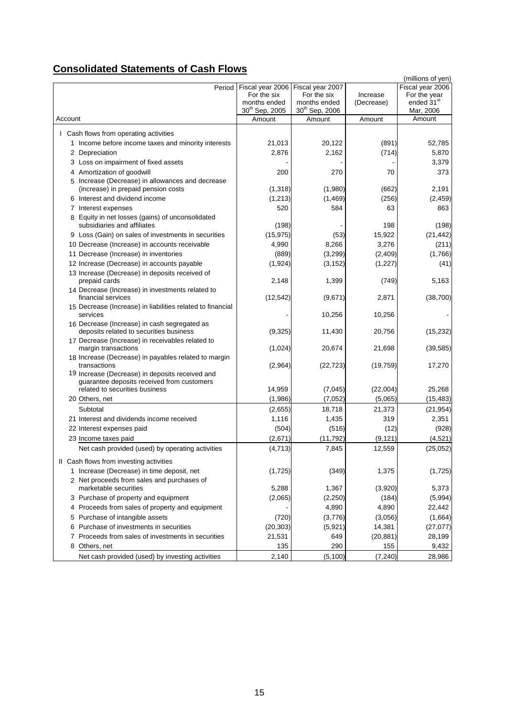# **Consolidated Statements of Cash Flows**

|                                                                                         |                            |                            |            | (millions of yen)      |
|-----------------------------------------------------------------------------------------|----------------------------|----------------------------|------------|------------------------|
| Period                                                                                  | Fiscal year 2006           | Fiscal year 2007           |            | Fiscal year 2006       |
|                                                                                         | For the six                | For the six                | Increase   | For the year           |
|                                                                                         | months ended               | months ended               | (Decrease) | ended 31 <sup>st</sup> |
|                                                                                         | 30 <sup>th</sup> Sep, 2005 | 30 <sup>th</sup> Sep, 2006 |            | Mar, 2006              |
| Account                                                                                 | Amount                     | Amount                     | Amount     | Amount                 |
| I Cash flows from operating activities                                                  |                            |                            |            |                        |
| 1 Income before income taxes and minority interests                                     | 21,013                     | 20,122                     | (891)      | 52,785                 |
| 2 Depreciation                                                                          | 2,876                      | 2,162                      | (714)      | 5,870                  |
| 3 Loss on impairment of fixed assets                                                    |                            |                            |            | 3,379                  |
| 4 Amortization of goodwill                                                              | 200                        | 270                        | 70         | 373                    |
| 5 Increase (Decrease) in allowances and decrease                                        |                            |                            |            |                        |
| (increase) in prepaid pension costs                                                     | (1, 318)                   | (1,980)                    | (662)      | 2,191                  |
| 6 Interest and dividend income                                                          | (1, 213)                   | (1, 469)                   | (256)      | (2, 459)               |
| 7 Interest expenses                                                                     | 520                        | 584                        | 63         | 863                    |
| 8 Equity in net losses (gains) of unconsolidated                                        |                            |                            |            |                        |
| subsidiaries and affiliates                                                             | (198)                      |                            | 198        | (198)                  |
| 9 Loss (Gain) on sales of investments in securities                                     | (15, 975)                  | (53)                       | 15,922     | (21, 442)              |
| 10 Decrease (Increase) in accounts receivable                                           | 4,990                      | 8,266                      | 3,276      | (211)                  |
| 11 Decrease (Increase) in inventories                                                   | (889)                      | (3, 299)                   | (2,409)    | (1,766)                |
| 12 Increase (Decrease) in accounts payable                                              | (1, 924)                   | (3, 152)                   | (1, 227)   | (41)                   |
| 13 Increase (Decrease) in deposits received of                                          |                            |                            |            |                        |
| prepaid cards                                                                           | 2,148                      | 1,399                      | (749)      | 5,163                  |
| 14 Decrease (Increase) in investments related to                                        |                            |                            |            |                        |
| financial services                                                                      | (12, 542)                  | (9,671)                    | 2,871      | (38, 700)              |
| 15 Decrease (Increase) in liabilities related to financial                              |                            |                            |            |                        |
| services                                                                                |                            | 10,256                     | 10,256     |                        |
| 16 Decrease (Increase) in cash segregated as<br>deposits related to securities business | (9, 325)                   | 11,430                     | 20,756     | (15, 232)              |
| 17 Decrease (Increase) in receivables related to                                        |                            |                            |            |                        |
| margin transactions                                                                     | (1,024)                    | 20,674                     | 21,698     | (39, 585)              |
| 18 Increase (Decrease) in payables related to margin                                    |                            |                            |            |                        |
| transactions                                                                            | (2,964)                    | (22, 723)                  | (19, 759)  | 17,270                 |
| 19 Increase (Decrease) in deposits received and                                         |                            |                            |            |                        |
| guarantee deposits received from customers                                              |                            |                            |            |                        |
| related to securities business                                                          | 14,959                     | (7,045)                    | (22,004)   | 25,268                 |
| 20 Others, net                                                                          | (1,986)                    | (7,052)                    | (5,065)    | (15, 483)              |
| Subtotal                                                                                | (2,655)                    | 18,718                     | 21,373     | (21, 954)              |
| 21 Interest and dividends income received                                               | 1,116                      | 1,435                      | 319        | 2,351                  |
| 22 Interest expenses paid                                                               | (504)                      | (516)                      | (12)       | (928)                  |
| 23 Income taxes paid                                                                    | (2,671)                    | (11, 792)                  | (9, 121)   | (4,521)                |
| Net cash provided (used) by operating activities                                        | (4, 713)                   | 7,845                      | 12,559     | (25, 052)              |
| II Cash flows from investing activities                                                 |                            |                            |            |                        |
| 1 Increase (Decrease) in time deposit, net                                              | (1,725)                    | (349)                      | 1,375      | (1,725)                |
| 2 Net proceeds from sales and purchases of                                              |                            |                            |            |                        |
| marketable securities                                                                   | 5,288                      | 1,367                      | (3,920)    | 5,373                  |
| 3 Purchase of property and equipment                                                    | (2,065)                    | (2,250)                    | (184)      | (5,994)                |
| 4 Proceeds from sales of property and equipment                                         |                            | 4,890                      | 4,890      | 22,442                 |
| 5 Purchase of intangible assets                                                         | (720)                      | (3,776)                    | (3,056)    | (1,664)                |
| Purchase of investments in securities<br>6                                              | (20, 303)                  | (5,921)                    | 14,381     | (27, 077)              |
| 7 Proceeds from sales of investments in securities                                      | 21,531                     | 649                        | (20, 881)  | 28,199                 |
| 8 Others, net                                                                           | 135                        | 290                        | 155        | 9,432                  |
|                                                                                         |                            |                            |            |                        |
| Net cash provided (used) by investing activities                                        | 2,140                      | (5, 100)                   | (7, 240)   | 28,986                 |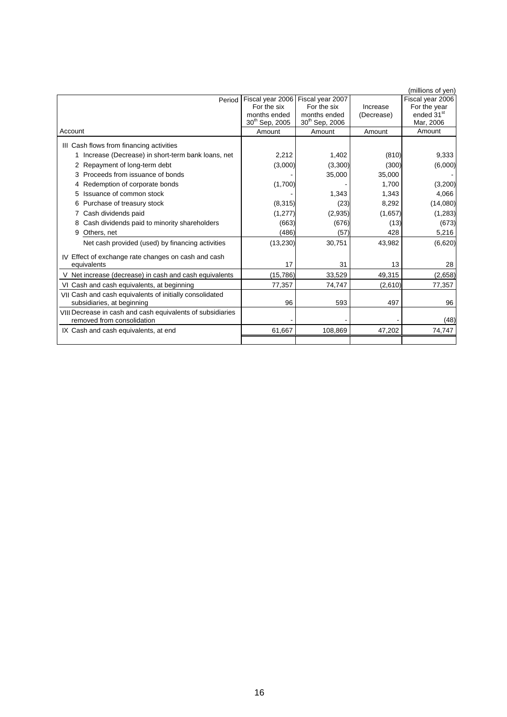|                                                                                          |                            |                            |            | (millions of yen)      |
|------------------------------------------------------------------------------------------|----------------------------|----------------------------|------------|------------------------|
| Period                                                                                   | Fiscal year 2006           | Fiscal year 2007           |            | Fiscal year 2006       |
|                                                                                          | For the six                | For the six                | Increase   | For the year           |
|                                                                                          | months ended               | months ended               | (Decrease) | ended 31 <sup>st</sup> |
|                                                                                          | 30 <sup>th</sup> Sep, 2005 | 30 <sup>th</sup> Sep, 2006 |            | Mar, 2006              |
| Account                                                                                  | Amount                     | Amount                     | Amount     | Amount                 |
| III Cash flows from financing activities                                                 |                            |                            |            |                        |
| Increase (Decrease) in short-term bank loans, net                                        | 2,212                      | 1.402                      | (810)      | 9,333                  |
| 2 Repayment of long-term debt                                                            | (3,000)                    | (3,300)                    | (300)      | (6,000)                |
| Proceeds from issuance of bonds                                                          |                            | 35,000                     | 35,000     |                        |
| 4 Redemption of corporate bonds                                                          | (1,700)                    |                            | 1.700      | (3,200)                |
| Issuance of common stock<br>5                                                            |                            | 1,343                      | 1,343      | 4,066                  |
| Purchase of treasury stock<br>6                                                          | (8, 315)                   | (23)                       | 8,292      | (14,080)               |
| Cash dividends paid                                                                      | (1, 277)                   | (2,935)                    | (1,657)    | (1, 283)               |
| Cash dividends paid to minority shareholders<br>8                                        | (663)                      | (676)                      | (13)       | (673)                  |
| 9<br>Others, net                                                                         | (486)                      | (57)                       | 428        | 5,216                  |
| Net cash provided (used) by financing activities                                         | (13,230)                   | 30,751                     | 43,982     | (6,620)                |
| IV Effect of exchange rate changes on cash and cash                                      |                            |                            |            |                        |
| equivalents                                                                              | 17                         | 31                         | 13         | 28                     |
| V Net increase (decrease) in cash and cash equivalents                                   | (15, 786)                  | 33,529                     | 49,315     | (2,658)                |
| VI Cash and cash equivalents, at beginning                                               | 77,357                     | 74,747                     | (2,610)    | 77,357                 |
| VII Cash and cash equivalents of initially consolidated                                  |                            |                            |            |                        |
| subsidiaries, at beginning                                                               | 96                         | 593                        | 497        | 96                     |
| VIII Decrease in cash and cash equivalents of subsidiaries<br>removed from consolidation |                            |                            |            |                        |
|                                                                                          |                            |                            |            | (48)                   |
| IX Cash and cash equivalents, at end                                                     | 61,667                     | 108,869                    | 47,202     | 74,747                 |
|                                                                                          |                            |                            |            |                        |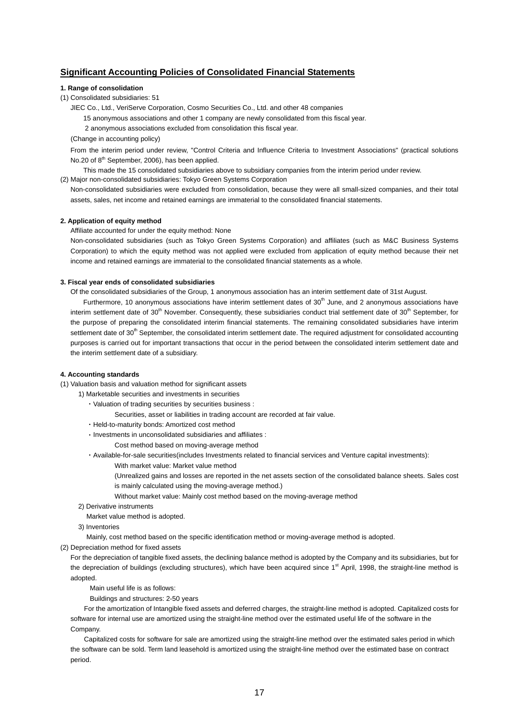## **Significant Accounting Policies of Consolidated Financial Statements**

#### **1. Range of consolidation**

(1) Consolidated subsidiaries: 51

JIEC Co., Ltd., VeriServe Corporation, Cosmo Securities Co., Ltd. and other 48 companies

15 anonymous associations and other 1 company are newly consolidated from this fiscal year.

2 anonymous associations excluded from consolidation this fiscal year.

(Change in accounting policy)

From the interim period under review, "Control Criteria and Influence Criteria to Investment Associations" (practical solutions No.20 of 8<sup>th</sup> September, 2006), has been applied.

This made the 15 consolidated subsidiaries above to subsidiary companies from the interim period under review.

(2) Major non-consolidated subsidiaries: Tokyo Green Systems Corporation

Non-consolidated subsidiaries were excluded from consolidation, because they were all small-sized companies, and their total assets, sales, net income and retained earnings are immaterial to the consolidated financial statements.

#### **2. Application of equity method**

Affiliate accounted for under the equity method: None

Non-consolidated subsidiaries (such as Tokyo Green Systems Corporation) and affiliates (such as M&C Business Systems Corporation) to which the equity method was not applied were excluded from application of equity method because their net income and retained earnings are immaterial to the consolidated financial statements as a whole.

#### **3. Fiscal year ends of consolidated subsidiaries**

Of the consolidated subsidiaries of the Group, 1 anonymous association has an interim settlement date of 31st August.

Furthermore, 10 anonymous associations have interim settlement dates of  $30<sup>th</sup>$  June, and 2 anonymous associations have interim settlement date of 30<sup>th</sup> November. Consequently, these subsidiaries conduct trial settlement date of 30<sup>th</sup> September, for the purpose of preparing the consolidated interim financial statements. The remaining consolidated subsidiaries have interim settlement date of 30<sup>th</sup> September, the consolidated interim settlement date. The required adjustment for consolidated accounting purposes is carried out for important transactions that occur in the period between the consolidated interim settlement date and the interim settlement date of a subsidiary.

#### **4. Accounting standards**

(1) Valuation basis and valuation method for significant assets

- 1) Marketable securities and investments in securities
	- ・Valuation of trading securities by securities business :
		- Securities, asset or liabilities in trading account are recorded at fair value.
	- ・Held-to-maturity bonds: Amortized cost method
	- ・Investments in unconsolidated subsidiaries and affiliates :
		- Cost method based on moving-average method

・Available-for-sale securities(includes Investments related to financial services and Venture capital investments):

- With market value: Market value method
- (Unrealized gains and losses are reported in the net assets section of the consolidated balance sheets. Sales cost is mainly calculated using the moving-average method.)
- Without market value: Mainly cost method based on the moving-average method
- 2) Derivative instruments

Market value method is adopted.

3) Inventories

Mainly, cost method based on the specific identification method or moving-average method is adopted.

(2) Depreciation method for fixed assets

For the depreciation of tangible fixed assets, the declining balance method is adopted by the Company and its subsidiaries, but for the depreciation of buildings (excluding structures), which have been acquired since 1<sup>st</sup> April, 1998, the straight-line method is adopted.

Main useful life is as follows:

Buildings and structures: 2-50 years

For the amortization of Intangible fixed assets and deferred charges, the straight-line method is adopted. Capitalized costs for software for internal use are amortized using the straight-line method over the estimated useful life of the software in the Company.

Capitalized costs for software for sale are amortized using the straight-line method over the estimated sales period in which the software can be sold. Term land leasehold is amortized using the straight-line method over the estimated base on contract period.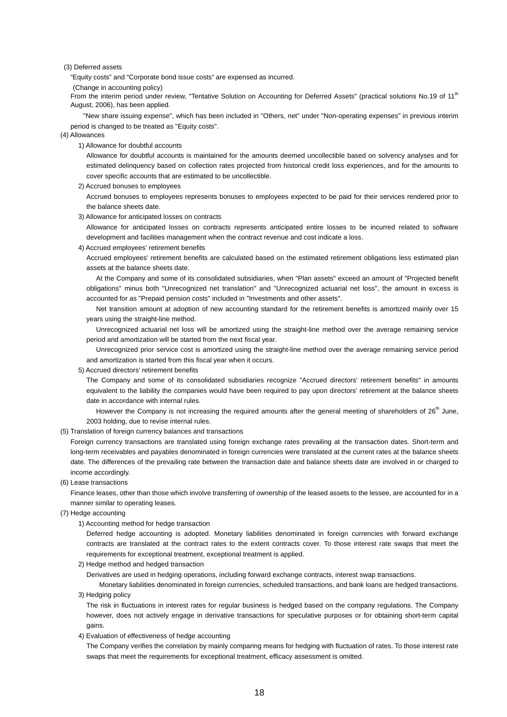#### (3) Deferred assets

"Equity costs" and "Corporate bond issue costs" are expensed as incurred.

(Change in accounting policy)

From the interim period under review, "Tentative Solution on Accounting for Deferred Assets" (practical solutions No.19 of 11<sup>th</sup> August, 2006), has been applied.

"New share issuing expense", which has been included in "Others, net" under "Non-operating expenses" in previous interim period is changed to be treated as "Equity costs".

#### (4) Allowances

1) Allowance for doubtful accounts

Allowance for doubtful accounts is maintained for the amounts deemed uncollectible based on solvency analyses and for estimated delinquency based on collection rates projected from historical credit loss experiences, and for the amounts to cover specific accounts that are estimated to be uncollectible.

2) Accrued bonuses to employees

Accrued bonuses to employees represents bonuses to employees expected to be paid for their services rendered prior to the balance sheets date.

3) Allowance for anticipated losses on contracts

Allowance for anticipated losses on contracts represents anticipated entire losses to be incurred related to software development and facilities management when the contract revenue and cost indicate a loss.

4) Accrued employees' retirement benefits

Accrued employees' retirement benefits are calculated based on the estimated retirement obligations less estimated plan assets at the balance sheets date.

At the Company and some of its consolidated subsidiaries, when "Plan assets" exceed an amount of "Projected benefit obligations" minus both "Unrecognized net translation" and "Unrecognized actuarial net loss", the amount in excess is accounted for as "Prepaid pension costs" included in "Investments and other assets".

Net transition amount at adoption of new accounting standard for the retirement benefits is amortized mainly over 15 years using the straight-line method.

Unrecognized actuarial net loss will be amortized using the straight-line method over the average remaining service period and amortization will be started from the next fiscal year.

Unrecognized prior service cost is amortized using the straight-line method over the average remaining service period and amortization is started from this fiscal year when it occurs.

#### 5) Accrued directors' retirement benefits

The Company and some of its consolidated subsidiaries recognize "Accrued directors' retirement benefits" in amounts equivalent to the liability the companies would have been required to pay upon directors' retirement at the balance sheets date in accordance with internal rules.

However the Company is not increasing the required amounts after the general meeting of shareholders of 26<sup>th</sup> June, 2003 holding, due to revise internal rules.

(5) Translation of foreign currency balances and transactions

Foreign currency transactions are translated using foreign exchange rates prevailing at the transaction dates. Short-term and long-term receivables and payables denominated in foreign currencies were translated at the current rates at the balance sheets date. The differences of the prevailing rate between the transaction date and balance sheets date are involved in or charged to income accordingly.

(6) Lease transactions

Finance leases, other than those which involve transferring of ownership of the leased assets to the lessee, are accounted for in a manner similar to operating leases.

- (7) Hedge accounting
	- 1) Accounting method for hedge transaction

Deferred hedge accounting is adopted. Monetary liabilities denominated in foreign currencies with forward exchange contracts are translated at the contract rates to the extent contracts cover. To those interest rate swaps that meet the requirements for exceptional treatment, exceptional treatment is applied.

2) Hedge method and hedged transaction

Derivatives are used in hedging operations, including forward exchange contracts, interest swap transactions.

Monetary liabilities denominated in foreign currencies, scheduled transactions, and bank loans are hedged transactions. 3) Hedging policy

The risk in fluctuations in interest rates for regular business is hedged based on the company regulations. The Company however, does not actively engage in derivative transactions for speculative purposes or for obtaining short-term capital gains.

4) Evaluation of effectiveness of hedge accounting

The Company verifies the correlation by mainly comparing means for hedging with fluctuation of rates. To those interest rate swaps that meet the requirements for exceptional treatment, efficacy assessment is omitted.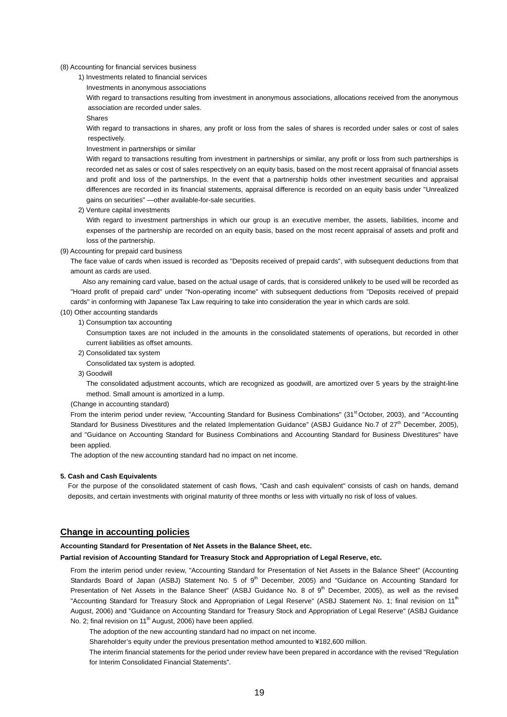(8) Accounting for financial services business

1) Investments related to financial services

Investments in anonymous associations

With regard to transactions resulting from investment in anonymous associations, allocations received from the anonymous association are recorded under sales.

Shares

With regard to transactions in shares, any profit or loss from the sales of shares is recorded under sales or cost of sales respectively.

Investment in partnerships or similar

With regard to transactions resulting from investment in partnerships or similar, any profit or loss from such partnerships is recorded net as sales or cost of sales respectively on an equity basis, based on the most recent appraisal of financial assets and profit and loss of the partnerships. In the event that a partnership holds other investment securities and appraisal differences are recorded in its financial statements, appraisal difference is recorded on an equity basis under "Unrealized gains on securities" —other available-for-sale securities.

2) Venture capital investments

With regard to investment partnerships in which our group is an executive member, the assets, liabilities, income and expenses of the partnership are recorded on an equity basis, based on the most recent appraisal of assets and profit and loss of the partnership.

(9) Accounting for prepaid card business

The face value of cards when issued is recorded as "Deposits received of prepaid cards", with subsequent deductions from that amount as cards are used.

Also any remaining card value, based on the actual usage of cards, that is considered unlikely to be used will be recorded as "Hoard profit of prepaid card" under "Non-operating income" with subsequent deductions from "Deposits received of prepaid cards" in conforming with Japanese Tax Law requiring to take into consideration the year in which cards are sold.

#### (10) Other accounting standards

1) Consumption tax accounting

Consumption taxes are not included in the amounts in the consolidated statements of operations, but recorded in other current liabilities as offset amounts.

2) Consolidated tax system

Consolidated tax system is adopted.

3) Goodwill

The consolidated adjustment accounts, which are recognized as goodwill, are amortized over 5 years by the straight-line method. Small amount is amortized in a lump.

(Change in accounting standard)

From the interim period under review, "Accounting Standard for Business Combinations" (31<sup>st</sup> October, 2003), and "Accounting Standard for Business Divestitures and the related Implementation Guidance" (ASBJ Guidance No.7 of 27<sup>th</sup> December, 2005), and "Guidance on Accounting Standard for Business Combinations and Accounting Standard for Business Divestitures" have been applied.

The adoption of the new accounting standard had no impact on net income.

#### **5. Cash and Cash Equivalents**

For the purpose of the consolidated statement of cash flows, "Cash and cash equivalent" consists of cash on hands, demand deposits, and certain investments with original maturity of three months or less with virtually no risk of loss of values.

### **Change in accounting policies**

#### **Accounting Standard for Presentation of Net Assets in the Balance Sheet, etc.**

**Partial revision of Accounting Standard for Treasury Stock and Appropriation of Legal Reserve, etc.**

From the interim period under review, "Accounting Standard for Presentation of Net Assets in the Balance Sheet" (Accounting Standards Board of Japan (ASBJ) Statement No. 5 of  $9<sup>th</sup>$  December, 2005) and "Guidance on Accounting Standard for Presentation of Net Assets in the Balance Sheet" (ASBJ Guidance No. 8 of 9<sup>th</sup> December, 2005), as well as the revised "Accounting Standard for Treasury Stock and Appropriation of Legal Reserve" (ASBJ Statement No. 1; final revision on 11<sup>th</sup> August, 2006) and "Guidance on Accounting Standard for Treasury Stock and Appropriation of Legal Reserve" (ASBJ Guidance No. 2; final revision on 11<sup>th</sup> August, 2006) have been applied.

The adoption of the new accounting standard had no impact on net income.

Shareholder's equity under the previous presentation method amounted to ¥182,600 million.

The interim financial statements for the period under review have been prepared in accordance with the revised "Regulation for Interim Consolidated Financial Statements".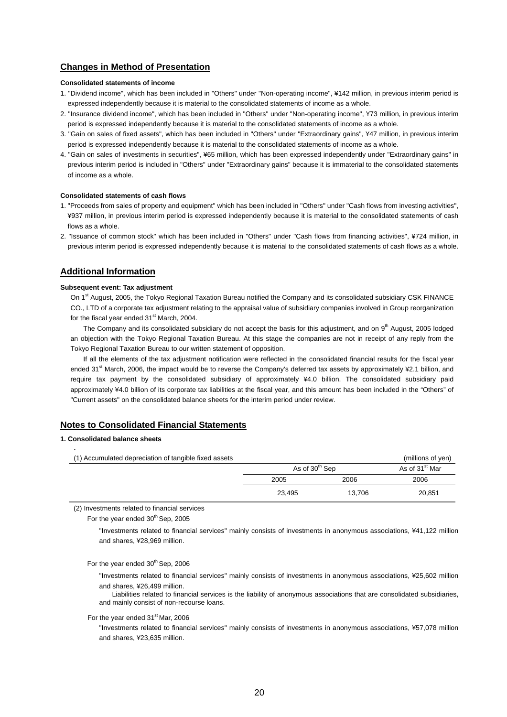## **Changes in Method of Presentation**

#### **Consolidated statements of income**

- 1. "Dividend income", which has been included in "Others" under "Non-operating income", ¥142 million, in previous interim period is expressed independently because it is material to the consolidated statements of income as a whole.
- 2. "Insurance dividend income", which has been included in "Others" under "Non-operating income", ¥73 million, in previous interim period is expressed independently because it is material to the consolidated statements of income as a whole.
- 3. "Gain on sales of fixed assets", which has been included in "Others" under "Extraordinary gains", ¥47 million, in previous interim period is expressed independently because it is material to the consolidated statements of income as a whole.
- 4. "Gain on sales of investments in securities", ¥65 million, which has been expressed independently under "Extraordinary gains" in previous interim period is included in "Others" under "Extraordinary gains" because it is immaterial to the consolidated statements of income as a whole.

#### **Consolidated statements of cash flows**

- 1. "Proceeds from sales of property and equipment" which has been included in "Others" under "Cash flows from investing activities", ¥937 million, in previous interim period is expressed independently because it is material to the consolidated statements of cash flows as a whole.
- 2. "Issuance of common stock" which has been included in "Others" under "Cash flows from financing activities", ¥724 million, in previous interim period is expressed independently because it is material to the consolidated statements of cash flows as a whole.

## **Additional Information**

#### **Subsequent event: Tax adjustment**

On 1<sup>st</sup> August, 2005, the Tokyo Regional Taxation Bureau notified the Company and its consolidated subsidiary CSK FINANCE CO., LTD of a corporate tax adjustment relating to the appraisal value of subsidiary companies involved in Group reorganization for the fiscal year ended 31<sup>st</sup> March, 2004.

The Company and its consolidated subsidiary do not accept the basis for this adjustment, and on 9<sup>th</sup> August, 2005 lodged an objection with the Tokyo Regional Taxation Bureau. At this stage the companies are not in receipt of any reply from the Tokyo Regional Taxation Bureau to our written statement of opposition.

If all the elements of the tax adjustment notification were reflected in the consolidated financial results for the fiscal year ended 31<sup>st</sup> March, 2006, the impact would be to reverse the Company's deferred tax assets by approximately ¥2.1 billion, and require tax payment by the consolidated subsidiary of approximately ¥4.0 billion. The consolidated subsidiary paid approximately ¥4.0 billion of its corporate tax liabilities at the fiscal year, and this amount has been included in the "Others" of "Current assets" on the consolidated balance sheets for the interim period under review.

## **Notes to Consolidated Financial Statements**

### **1. Consolidated balance sheets**

| (1) Accumulated depreciation of tangible fixed assets |                            |        | (millions of yen)          |
|-------------------------------------------------------|----------------------------|--------|----------------------------|
|                                                       | As of 30 <sup>th</sup> Sep |        | As of 31 <sup>st</sup> Mar |
|                                                       | 2005                       | 2006   | 2006                       |
|                                                       | 23.495                     | 13.706 | 20,851                     |

(2) Investments related to financial services

For the year ended  $30<sup>th</sup>$  Sep, 2005

"Investments related to financial services" mainly consists of investments in anonymous associations, ¥41,122 million and shares, ¥28,969 million.

For the year ended  $30<sup>th</sup>$  Sep, 2006

"Investments related to financial services" mainly consists of investments in anonymous associations, ¥25,602 million and shares, ¥26,499 million.

Liabilities related to financial services is the liability of anonymous associations that are consolidated subsidiaries, and mainly consist of non-recourse loans.

For the year ended 31<sup>st</sup> Mar, 2006

"Investments related to financial services" mainly consists of investments in anonymous associations, ¥57,078 million and shares, ¥23,635 million.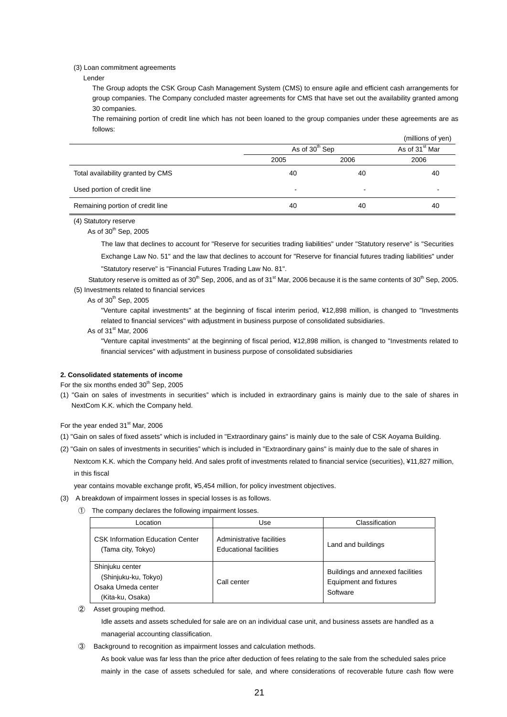#### (3) Loan commitment agreements

Lender

The Group adopts the CSK Group Cash Management System (CMS) to ensure agile and efficient cash arrangements for group companies. The Company concluded master agreements for CMS that have set out the availability granted among 30 companies.

The remaining portion of credit line which has not been loaned to the group companies under these agreements are as follows:

|                                   |                            |      | (millions of yen)          |
|-----------------------------------|----------------------------|------|----------------------------|
|                                   | As of 30 <sup>th</sup> Sep |      | As of 31 <sup>st</sup> Mar |
|                                   | 2005                       | 2006 | 2006                       |
| Total availability granted by CMS | 40                         | 40   | 40                         |
| Used portion of credit line       | $\,$                       |      |                            |
| Remaining portion of credit line  | 40                         | 40   | 40                         |

(4) Statutory reserve

As of  $30<sup>th</sup>$  Sep, 2005

The law that declines to account for "Reserve for securities trading liabilities" under "Statutory reserve" is "Securities Exchange Law No. 51" and the law that declines to account for "Reserve for financial futures trading liabilities" under

"Statutory reserve" is "Financial Futures Trading Law No. 81".

Statutory reserve is omitted as of 30<sup>th</sup> Sep, 2006, and as of 31<sup>st</sup> Mar, 2006 because it is the same contents of 30<sup>th</sup> Sep, 2005. (5) Investments related to financial services

As of  $30<sup>th</sup>$  Sep, 2005

"Venture capital investments" at the beginning of fiscal interim period, ¥12,898 million, is changed to "Investments related to financial services" with adjustment in business purpose of consolidated subsidiaries.

As of 31<sup>st</sup> Mar, 2006

"Venture capital investments" at the beginning of fiscal period, ¥12,898 million, is changed to "Investments related to financial services" with adjustment in business purpose of consolidated subsidiaries

#### **2. Consolidated statements of income**

For the six months ended  $30<sup>th</sup>$  Sep, 2005

(1) "Gain on sales of investments in securities" which is included in extraordinary gains is mainly due to the sale of shares in NextCom K.K. which the Company held.

For the year ended 31<sup>st</sup> Mar, 2006

- (1) "Gain on sales of fixed assets" which is included in "Extraordinary gains" is mainly due to the sale of CSK Aoyama Building.
- (2) "Gain on sales of investments in securities" which is included in "Extraordinary gains" is mainly due to the sale of shares in Nextcom K.K. which the Company held. And sales profit of investments related to financial service (securities), ¥11,827 million, in this fiscal

year contains movable exchange profit, ¥5,454 million, for policy investment objectives.

- (3) A breakdown of impairment losses in special losses is as follows.
	- ① The company declares the following impairment losses.

| _ocation                                                                          | Use                                                        | Classification                                                         |
|-----------------------------------------------------------------------------------|------------------------------------------------------------|------------------------------------------------------------------------|
| <b>CSK Information Education Center</b><br>(Tama city, Tokyo)                     | Administrative facilities<br><b>Educational facilities</b> | Land and buildings                                                     |
| Shinjuku center<br>(Shinjuku-ku, Tokyo)<br>Osaka Umeda center<br>(Kita-ku, Osaka) | Call center                                                | Buildings and annexed facilities<br>Equipment and fixtures<br>Software |

② Asset grouping method.

Idle assets and assets scheduled for sale are on an individual case unit, and business assets are handled as a managerial accounting classification.

③ Background to recognition as impairment losses and calculation methods.

As book value was far less than the price after deduction of fees relating to the sale from the scheduled sales price mainly in the case of assets scheduled for sale, and where considerations of recoverable future cash flow were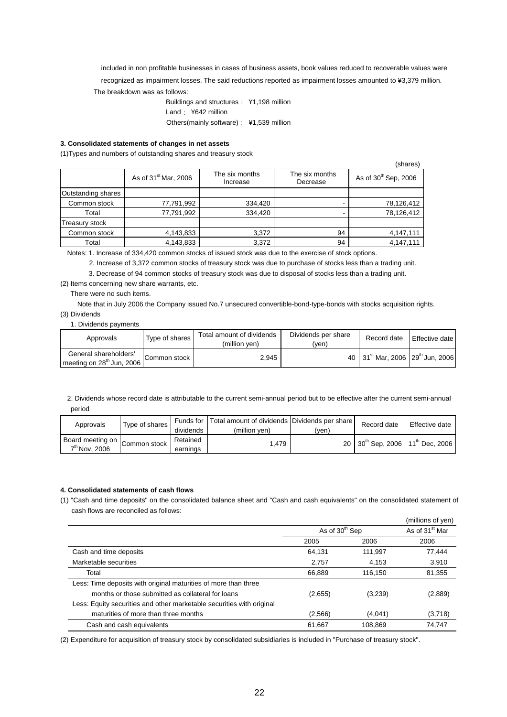included in non profitable businesses in cases of business assets, book values reduced to recoverable values were recognized as impairment losses. The said reductions reported as impairment losses amounted to ¥3,379 million.

The breakdown was as follows:

Buildings and structures: ¥1,198 million Land: ¥642 million Others(mainly software): ¥1,539 million

### **3. Consolidated statements of changes in net assets**

(1)Types and numbers of outstanding shares and treasury stock

|                    |                                  |                            |                            | (shares)                         |
|--------------------|----------------------------------|----------------------------|----------------------------|----------------------------------|
|                    | As of 31 <sup>st</sup> Mar, 2006 | The six months<br>Increase | The six months<br>Decrease | As of 30 <sup>th</sup> Sep, 2006 |
| Outstanding shares |                                  |                            |                            |                                  |
| Common stock       | 77,791,992                       | 334,420                    |                            | 78,126,412                       |
| Total              | 77,791,992                       | 334,420                    |                            | 78,126,412                       |
| Treasury stock     |                                  |                            |                            |                                  |
| Common stock       | 4,143,833                        | 3,372                      | 94                         | 4,147,111                        |
| Total              | 4,143,833                        | 3,372                      | 94                         | 4,147,111                        |

Notes: 1. Increase of 334,420 common stocks of issued stock was due to the exercise of stock options.

2. Increase of 3,372 common stocks of treasury stock was due to purchase of stocks less than a trading unit.

3. Decrease of 94 common stocks of treasury stock was due to disposal of stocks less than a trading unit.

(2) Items concerning new share warrants, etc.

#### There were no such items.

Note that in July 2006 the Company issued No.7 unsecured convertible-bond-type-bonds with stocks acquisition rights. (3) Dividends

### 1. Dividends payments

| Approvals                                                      | Type of shares | Total amount of dividends<br>(million ven) | Dividends per share<br>(ven) | Record date                                              | <b>Effective date</b> |
|----------------------------------------------------------------|----------------|--------------------------------------------|------------------------------|----------------------------------------------------------|-----------------------|
| General shareholders'<br>meeting on 28 <sup>th</sup> Jun, 2006 | Common stock   | 2.945                                      |                              | 40 31 <sup>st</sup> Mar. 2006 29 <sup>th</sup> Jun. 2006 |                       |

 2. Dividends whose record date is attributable to the current semi-annual period but to be effective after the current semi-annual period

| Approvals                                              | Type of shares I | dividends            | Funds for Total amount of dividends Dividends per share<br>(million ven) | (ven)           | Record date                                            | Effective date |
|--------------------------------------------------------|------------------|----------------------|--------------------------------------------------------------------------|-----------------|--------------------------------------------------------|----------------|
| Board meeting on Common stock I War<br>$7th$ Nov. 2006 |                  | Retained<br>earnings | .479                                                                     | 20 <sub>1</sub> | $130^{\text{th}}$ Sep, 2006 $11^{\text{th}}$ Dec, 2006 |                |

## **4. Consolidated statements of cash flows**

(1) "Cash and time deposits" on the consolidated balance sheet and "Cash and cash equivalents" on the consolidated statement of cash flows are reconciled as follows:

|                                                                       |                            |         | (millions of yen)          |
|-----------------------------------------------------------------------|----------------------------|---------|----------------------------|
|                                                                       | As of 30 <sup>th</sup> Sep |         | As of 31 <sup>st</sup> Mar |
|                                                                       | 2005                       | 2006    | 2006                       |
| Cash and time deposits                                                | 64,131                     | 111.997 | 77.444                     |
| Marketable securities                                                 | 2.757                      | 4.153   | 3,910                      |
| Total                                                                 | 66,889                     | 116.150 | 81,355                     |
| Less: Time deposits with original maturities of more than three       |                            |         |                            |
| months or those submitted as collateral for loans                     | (2,655)                    | (3,239) | (2,889)                    |
| Less: Equity securities and other marketable securities with original |                            |         |                            |
| maturities of more than three months                                  | (2,566)                    | (4,041) | (3,718)                    |
| Cash and cash equivalents                                             | 61,667                     | 108.869 | 74.747                     |

(2) Expenditure for acquisition of treasury stock by consolidated subsidiaries is included in "Purchase of treasury stock".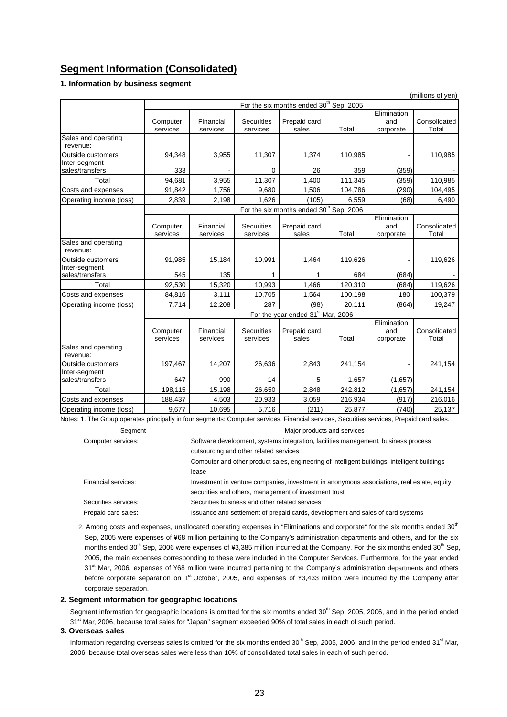# **Segment Information (Consolidated)**

#### **1. Information by business segment**

|                                                                                                                                            | (millions of yen)                                   |                       |                               |                                                     |         |                                 |                       |
|--------------------------------------------------------------------------------------------------------------------------------------------|-----------------------------------------------------|-----------------------|-------------------------------|-----------------------------------------------------|---------|---------------------------------|-----------------------|
|                                                                                                                                            | For the six months ended 30 <sup>th</sup> Sep, 2005 |                       |                               |                                                     |         |                                 |                       |
|                                                                                                                                            | Computer<br>services                                | Financial<br>services | <b>Securities</b><br>services | Prepaid card<br>sales                               | Total   | Elimination<br>and<br>corporate | Consolidated<br>Total |
| Sales and operating<br>revenue:                                                                                                            |                                                     |                       |                               |                                                     |         |                                 |                       |
| Outside customers<br>Inter-segment                                                                                                         | 94,348                                              | 3,955                 | 11,307                        | 1,374                                               | 110,985 |                                 | 110,985               |
| sales/transfers                                                                                                                            | 333                                                 |                       | 0                             | 26                                                  | 359     | (359)                           |                       |
| Total                                                                                                                                      | 94,681                                              | 3,955                 | 11,307                        | 1,400                                               | 111,345 | (359)                           | 110,985               |
| Costs and expenses                                                                                                                         | 91,842                                              | 1,756                 | 9,680                         | 1,506                                               | 104,786 | (290)                           | 104,495               |
| Operating income (loss)                                                                                                                    | 2,839                                               | 2,198                 | 1.626                         | (105)                                               | 6,559   | (68)                            | 6,490                 |
|                                                                                                                                            |                                                     |                       |                               | For the six months ended 30 <sup>th</sup> Sep, 2006 |         |                                 |                       |
|                                                                                                                                            | Computer<br>services                                | Financial<br>services | <b>Securities</b><br>services | Prepaid card<br>sales                               | Total   | Elimination<br>and<br>corporate | Consolidated<br>Total |
| Sales and operating<br>revenue:                                                                                                            |                                                     |                       |                               |                                                     |         |                                 |                       |
| Outside customers<br>Inter-segment                                                                                                         | 91,985                                              | 15,184                | 10,991                        | 1,464                                               | 119,626 |                                 | 119,626               |
| sales/transfers                                                                                                                            | 545                                                 | 135                   |                               | 1                                                   | 684     | (684)                           |                       |
| Total                                                                                                                                      | 92,530                                              | 15,320                | 10,993                        | 1,466                                               | 120,310 | (684)                           | 119,626               |
| Costs and expenses                                                                                                                         | 84,816                                              | 3,111                 | 10,705                        | 1,564                                               | 100,198 | 180                             | 100,379               |
| Operating income (loss)                                                                                                                    | 7,714                                               | 12,208                | 287                           | (98)                                                | 20,111  | (864)                           | 19,247                |
|                                                                                                                                            |                                                     |                       |                               | For the year ended 31 <sup>st</sup> Mar, 2006       |         |                                 |                       |
|                                                                                                                                            | Computer<br>services                                | Financial<br>services | <b>Securities</b><br>services | Prepaid card<br>sales                               | Total   | Elimination<br>and<br>corporate | Consolidated<br>Total |
| Sales and operating<br>revenue:                                                                                                            |                                                     |                       |                               |                                                     |         |                                 |                       |
| Outside customers<br>Inter-segment                                                                                                         | 197,467                                             | 14,207                | 26,636                        | 2,843                                               | 241,154 |                                 | 241,154               |
| sales/transfers                                                                                                                            | 647                                                 | 990                   | 14                            | 5                                                   | 1,657   | (1,657)                         |                       |
| Total                                                                                                                                      | 198,115                                             | 15,198                | 26,650                        | 2,848                                               | 242,812 | (1,657)                         | 241,154               |
| Costs and expenses                                                                                                                         | 188,437                                             | 4,503                 | 20,933                        | 3,059                                               | 216,934 | (917)                           | 216,016               |
| Operating income (loss)                                                                                                                    | 9.677                                               | 10.695                | 5,716                         | (211)                                               | 25,877  | (740)                           | 25,137                |
| Notes: 1. The Group operates principally in four segments: Computer services, Financial services, Securities services, Prepaid card sales. |                                                     |                       |                               |                                                     |         |                                 |                       |

Segment **Major products and services** Computer services: Software development, systems integration, facilities management, business process outsourcing and other related services Computer and other product sales, engineering of intelligent buildings, intelligent buildings lease Financial services: Investment in venture companies, investment in anonymous associations, real estate, equity securities and others, management of investment trust Securities services: Securities business and other related services Prepaid card sales: Issuance and settlement of prepaid cards, development and sales of card systems

2. Among costs and expenses, unallocated operating expenses in "Eliminations and corporate" for the six months ended 30<sup>th</sup> Sep, 2005 were expenses of ¥68 million pertaining to the Company's administration departments and others, and for the six months ended 30<sup>th</sup> Sep, 2006 were expenses of ¥3,385 million incurred at the Company. For the six months ended 30<sup>th</sup> Sep. 2005, the main expenses corresponding to these were included in the Computer Services. Furthermore, for the year ended 31<sup>st</sup> Mar, 2006, expenses of ¥68 million were incurred pertaining to the Company's administration departments and others before corporate separation on 1<sup>st</sup> October, 2005, and expenses of ¥3,433 million were incurred by the Company after corporate separation.

## **2. Segment information for geographic locations**

Segment information for geographic locations is omitted for the six months ended 30<sup>th</sup> Sep, 2005, 2006, and in the period ended 31<sup>st</sup> Mar, 2006, because total sales for "Japan" segment exceeded 90% of total sales in each of such period.

#### **3. Overseas sales**

Information regarding overseas sales is omitted for the six months ended 30<sup>th</sup> Sep, 2005, 2006, and in the period ended 31<sup>st</sup> Mar, 2006, because total overseas sales were less than 10% of consolidated total sales in each of such period.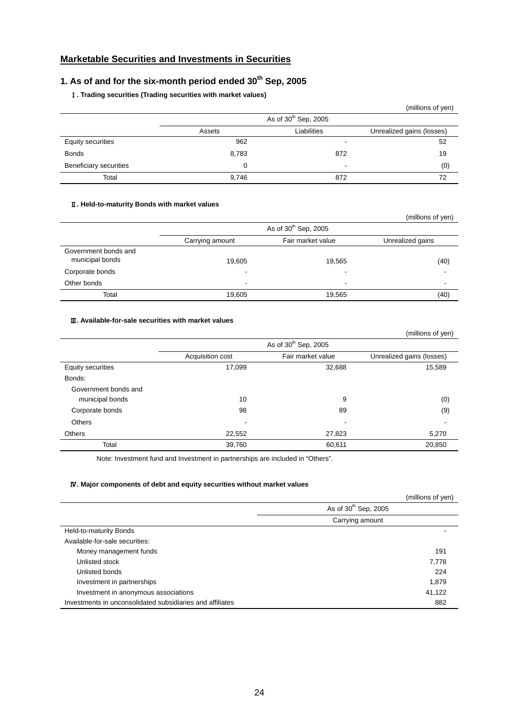# **Marketable Securities and Investments in Securities**

# 1. As of and for the six-month period ended 30<sup>th</sup> Sep, 2005

# Ⅰ**. Trading securities (Trading securities with market values)**

|                          |          |                                  | (millions of yen)         |
|--------------------------|----------|----------------------------------|---------------------------|
|                          |          | As of 30 <sup>th</sup> Sep, 2005 |                           |
|                          | Assets   | Liabilities                      | Unrealized gains (losses) |
| <b>Equity securities</b> | 962      | $\overline{\phantom{a}}$         | 52                        |
| <b>Bonds</b>             | 8,783    | 872                              | 19                        |
| Beneficiary securities   | $\Omega$ | $\blacksquare$                   | (0)                       |
| Total                    | 9,746    | 872                              | 72                        |

## Ⅱ**. Held-to-maturity Bonds with market values**

|                                         |                                  |                          | (millions of yen)        |
|-----------------------------------------|----------------------------------|--------------------------|--------------------------|
|                                         | As of 30 <sup>th</sup> Sep, 2005 |                          |                          |
|                                         | Carrying amount                  | Fair market value        | Unrealized gains         |
| Government bonds and<br>municipal bonds | 19,605                           | 19,565                   | (40)                     |
| Corporate bonds                         | -                                | $\overline{\phantom{0}}$ | $\blacksquare$           |
| Other bonds                             | $\overline{\phantom{0}}$         | $\overline{\phantom{0}}$ | $\overline{\phantom{a}}$ |
| Total                                   | 19,605                           | 19,565                   | (40)                     |

## Ⅲ**. Available-for-sale securities with market values**

|                      |                          |                                  | (millions of yen)         |
|----------------------|--------------------------|----------------------------------|---------------------------|
|                      |                          | As of 30 <sup>th</sup> Sep, 2005 |                           |
|                      | Acquisition cost         | Fair market value                | Unrealized gains (losses) |
| Equity securities    | 17,099                   | 32,688                           | 15,589                    |
| Bonds:               |                          |                                  |                           |
| Government bonds and |                          |                                  |                           |
| municipal bonds      | 10                       | 9                                | (0)                       |
| Corporate bonds      | 98                       | 89                               | (9)                       |
| <b>Others</b>        | $\overline{\phantom{a}}$ | ۰                                |                           |
| <b>Others</b>        | 22,552                   | 27,823                           | 5,270                     |
| Total                | 39,760                   | 60,611                           | 20,850                    |

Note: Investment fund and Investment in partnerships are included in "Others".

## Ⅳ**. Major components of debt and equity securities without market values**

|                                                           |                                  | (millions of yen) |
|-----------------------------------------------------------|----------------------------------|-------------------|
|                                                           | As of 30 <sup>th</sup> Sep, 2005 |                   |
|                                                           | Carrying amount                  |                   |
| Held-to-maturity Bonds                                    |                                  |                   |
| Available-for-sale securities:                            |                                  |                   |
| Money management funds                                    |                                  | 191               |
| Unlisted stock                                            |                                  | 7,778             |
| Unlisted bonds                                            |                                  | 224               |
| Investment in partnerships                                |                                  | 1,879             |
| Investment in anonymous associations                      |                                  | 41,122            |
| Investments in unconsolidated subsidiaries and affiliates |                                  | 882               |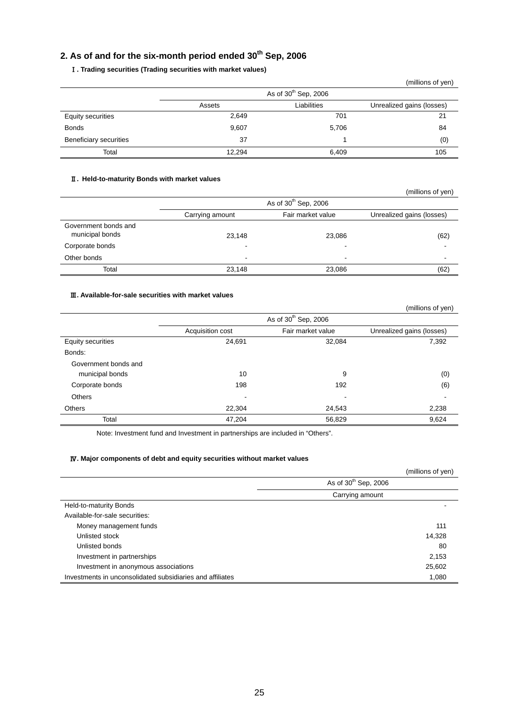# 2. As of and for the six-month period ended 30<sup>th</sup> Sep, 2006

## Ⅰ**. Trading securities (Trading securities with market values)**

|                               |        |                        | (millions of yen)         |
|-------------------------------|--------|------------------------|---------------------------|
|                               |        | As of $30th$ Sep, 2006 |                           |
|                               | Assets | Liabilities            | Unrealized gains (losses) |
| <b>Equity securities</b>      | 2,649  | 701                    | 21                        |
| <b>Bonds</b>                  | 9,607  | 5,706                  | 84                        |
| <b>Beneficiary securities</b> | 37     |                        | (0)                       |
| Total                         | 12.294 | 6,409                  | 105                       |

## Ⅱ**. Held-to-maturity Bonds with market values**

|                                         |                          |                                  | (millions of yen)         |
|-----------------------------------------|--------------------------|----------------------------------|---------------------------|
|                                         |                          | As of 30 <sup>th</sup> Sep, 2006 |                           |
|                                         | Carrying amount          | Fair market value                | Unrealized gains (losses) |
| Government bonds and<br>municipal bonds | 23,148                   | 23,086                           | (62)                      |
| Corporate bonds                         | -                        | -                                | $\overline{\phantom{0}}$  |
| Other bonds                             | $\overline{\phantom{0}}$ | $\overline{\phantom{0}}$         | -                         |
| Total                                   | 23,148                   | 23,086                           | (62)                      |

## Ⅲ**. Available-for-sale securities with market values**

|                          |                  |                                  | (millions of yen)         |
|--------------------------|------------------|----------------------------------|---------------------------|
|                          |                  | As of 30 <sup>th</sup> Sep, 2006 |                           |
|                          | Acquisition cost | Fair market value                | Unrealized gains (losses) |
| <b>Equity securities</b> | 24,691           | 32,084                           | 7,392                     |
| Bonds:                   |                  |                                  |                           |
| Government bonds and     |                  |                                  |                           |
| municipal bonds          | 10               | 9                                | (0)                       |
| Corporate bonds          | 198              | 192                              | (6)                       |
| Others                   | $\blacksquare$   | ٠                                | $\overline{\phantom{a}}$  |
| <b>Others</b>            | 22.304           | 24,543                           | 2,238                     |
| Total                    | 47,204           | 56,829                           | 9,624                     |

Note: Investment fund and Investment in partnerships are included in "Others".

## Ⅳ**. Major components of debt and equity securities without market values**

|                                                           | (millions of yen)                |
|-----------------------------------------------------------|----------------------------------|
|                                                           | As of 30 <sup>th</sup> Sep, 2006 |
|                                                           | Carrying amount                  |
| Held-to-maturity Bonds                                    |                                  |
| Available-for-sale securities:                            |                                  |
| Money management funds                                    | 111                              |
| Unlisted stock                                            | 14,328                           |
| Unlisted bonds                                            | 80                               |
| Investment in partnerships                                | 2,153                            |
| Investment in anonymous associations                      | 25,602                           |
| Investments in unconsolidated subsidiaries and affiliates | 1,080                            |

25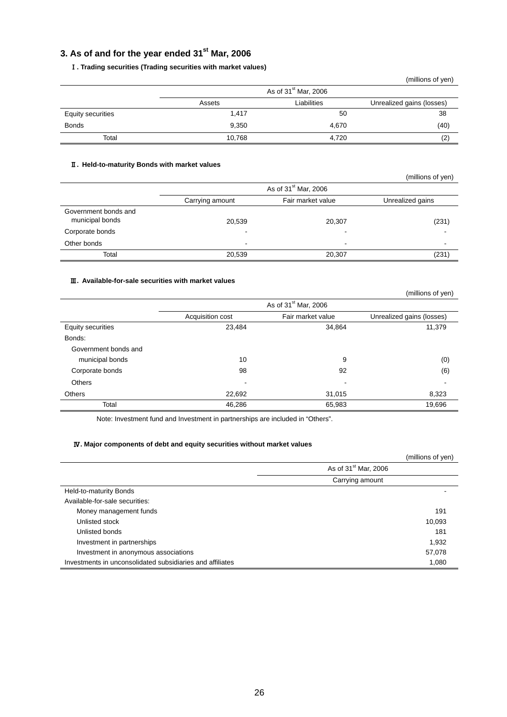# **3. As of and for the year ended 31st Mar, 2006**

## Ⅰ**. Trading securities (Trading securities with market values)**

|                   |        |                                  | (millions of yen)         |
|-------------------|--------|----------------------------------|---------------------------|
|                   |        | As of 31 <sup>st</sup> Mar, 2006 |                           |
|                   | Assets | Liabilities                      | Unrealized gains (losses) |
| Equity securities | 1,417  | 50                               | 38                        |
| <b>Bonds</b>      | 9,350  | 4,670                            | (40)                      |
| Total             | 10,768 | 4.720                            | (2)                       |

## Ⅱ**. Held-to-maturity Bonds with market values**

|                                         |                 |                                  | (millions of yen) |
|-----------------------------------------|-----------------|----------------------------------|-------------------|
|                                         |                 | As of 31 <sup>st</sup> Mar, 2006 |                   |
|                                         | Carrying amount | Fair market value                | Unrealized gains  |
| Government bonds and<br>municipal bonds | 20,539          | 20,307                           | (231)             |
| Corporate bonds                         | -               | $\overline{\phantom{a}}$         |                   |
| Other bonds                             |                 | $\overline{\phantom{0}}$         |                   |
| Total                                   | 20,539          | 20,307                           | (231)             |

## Ⅲ**. Available-for-sale securities with market values**

|                      |                                  |                           | (millions of yen) |  |  |  |  |
|----------------------|----------------------------------|---------------------------|-------------------|--|--|--|--|
|                      | As of 31 <sup>st</sup> Mar, 2006 |                           |                   |  |  |  |  |
|                      | Acquisition cost                 | Unrealized gains (losses) |                   |  |  |  |  |
| Equity securities    | 23,484                           | 34,864                    | 11,379            |  |  |  |  |
| Bonds:               |                                  |                           |                   |  |  |  |  |
| Government bonds and |                                  |                           |                   |  |  |  |  |
| municipal bonds      | 10                               | 9                         | (0)               |  |  |  |  |
| Corporate bonds      | 98                               | 92                        | (6)               |  |  |  |  |
| <b>Others</b>        |                                  |                           |                   |  |  |  |  |
| <b>Others</b>        | 22,692                           | 31,015                    | 8,323             |  |  |  |  |
| Total                | 46,286                           | 65,983                    | 19,696            |  |  |  |  |

Note: Investment fund and Investment in partnerships are included in "Others".

## Ⅳ**. Major components of debt and equity securities without market values**

|                                                           | (millions of yen)                |
|-----------------------------------------------------------|----------------------------------|
|                                                           | As of 31 <sup>st</sup> Mar, 2006 |
|                                                           | Carrying amount                  |
| Held-to-maturity Bonds                                    |                                  |
| Available-for-sale securities:                            |                                  |
| Money management funds                                    | 191                              |
| Unlisted stock                                            | 10,093                           |
| Unlisted bonds                                            | 181                              |
| Investment in partnerships                                | 1,932                            |
| Investment in anonymous associations                      | 57,078                           |
| Investments in unconsolidated subsidiaries and affiliates | 1,080                            |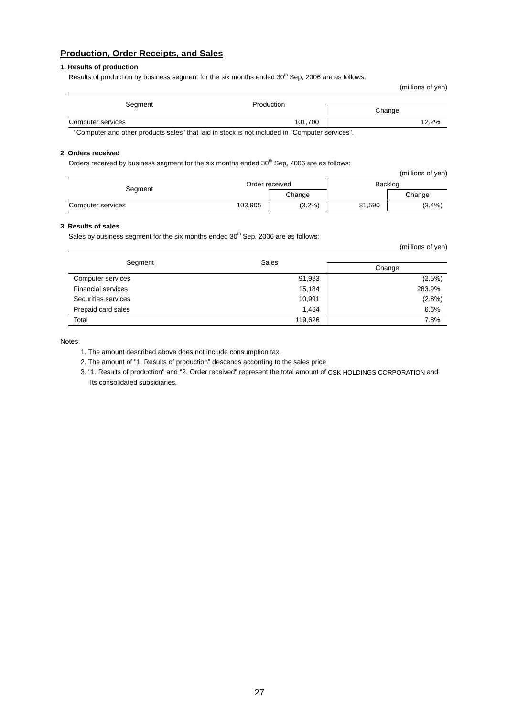## **Production, Order Receipts, and Sales**

## **1. Results of production**

Results of production by business segment for the six months ended  $30<sup>th</sup>$  Sep, 2006 are as follows:

|                                                                                                                  |            | (millions of yen) |
|------------------------------------------------------------------------------------------------------------------|------------|-------------------|
| Segment                                                                                                          | Production |                   |
|                                                                                                                  |            | Change            |
| Computer services                                                                                                | 101,700    | 12.2%             |
| $\mathbf{u}$ , and the state $\mathbf{u}$ , and the state of the state $\mathbf{u}$ , and the state $\mathbf{u}$ |            | $\cdots$          |

"Computer and other products sales" that laid in stock is not included in "Computer services".

#### **2. Orders received**

Orders received by business segment for the six months ended  $30<sup>th</sup>$  Sep, 2006 are as follows:

|                   |         |                |         | (millions of yen) |  |
|-------------------|---------|----------------|---------|-------------------|--|
| Segment           |         | Order received | Backlog |                   |  |
|                   |         | Change         |         | Change            |  |
| Computer services | 103,905 | $(3.2\%)$      | 81,590  | $(3.4\%)$         |  |

#### **3. Results of sales**

Sales by business segment for the six months ended  $30<sup>th</sup>$  Sep, 2006 are as follows:

| (millions of yen)         |         |           |  |  |  |  |
|---------------------------|---------|-----------|--|--|--|--|
| Segment                   | Sales   |           |  |  |  |  |
|                           |         | Change    |  |  |  |  |
| Computer services         | 91,983  | (2.5%)    |  |  |  |  |
| <b>Financial services</b> | 15,184  | 283.9%    |  |  |  |  |
| Securities services       | 10,991  | $(2.8\%)$ |  |  |  |  |
| Prepaid card sales        | 1,464   | 6.6%      |  |  |  |  |
| Total                     | 119,626 | 7.8%      |  |  |  |  |

Notes:

1. The amount described above does not include consumption tax.

2. The amount of "1. Results of production" descends according to the sales price.

3. "1. Results of production" and "2. Order received" represent the total amount of CSK HOLDINGS CORPORATION and Its consolidated subsidiaries.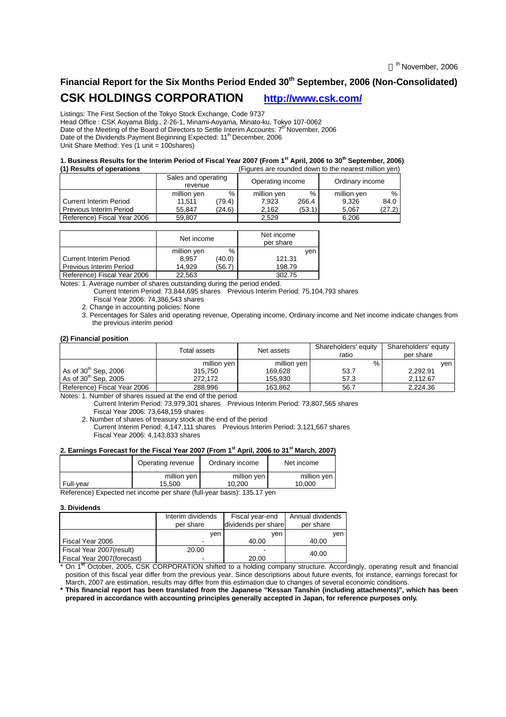# **Financial Report for the Six Months Period Ended 30th September, 2006 (Non-Consolidated) CSK HOLDINGS CORPORATION http://www.csk.com/**

Listings: The First Section of the Tokyo Stock Exchange, Code 9737

Head Office : CSK Aoyama Bldg., 2-26-1, Minami-Aoyama, Minato-ku, Tokyo 107-0062 Date of the Meeting of the Board of Directors to Settle Interim Accounts: 7<sup>th</sup> November, 2006 Date of the Dividends Payment Beginning Expected: 11<sup>th</sup> December, 2006 Unit Share Method: Yes (1 unit = 100shares)

#### **1. Business Results for the Interim Period of Fiscal Year 2007 (From 1 st April, 2006 to 30th September, 2006) (1) Results of operations** (Figures are rounded down to the nearest million yen)

|                             | Sales and operating<br>revenue |        | Operating income |        | Ordinary income |        |  |
|-----------------------------|--------------------------------|--------|------------------|--------|-----------------|--------|--|
|                             | %<br>million yen               |        | million yen      | %      | million yen     | %      |  |
| l Current Interim Period    | 11.511                         | 79.4)  | 7.923            | 266.4  | 9.326           | 84.0   |  |
| l Previous Interim Period   | 55.847                         | (24.6) | 2.162            | (53.1) | 5.067           | (27.2) |  |
| Reference) Fiscal Year 2006 | 59.807                         |        | 2.529            |        | 6.206           |        |  |

|                                | Net income  |        | Net income<br>per share |     |
|--------------------------------|-------------|--------|-------------------------|-----|
|                                | million yen | $\%$   |                         | ven |
| <b>Current Interim Period</b>  | 8.957       | (40.0) | 121.31                  |     |
| <b>Previous Interim Period</b> | 14.929      | (56.7) | 198.79                  |     |
| Reference) Fiscal Year 2006    | 22.563      |        | 302.75                  |     |

Notes: 1. Average number of shares outstanding during the period ended.

Current Interim Period: 73,844,695 shares Previous Interim Period: 75,104,793 shares Fiscal Year 2006: 74,386,543 shares

2. Change in accounting policies: None

3. Percentages for Sales and operating revenue, Operating income, Ordinary income and Net income indicate changes from the previous interim period

#### **(2) Financial position**

|                             | Total assets | Net assets  | Shareholders' equity<br>ratio | Shareholders' equity<br>per share |
|-----------------------------|--------------|-------------|-------------------------------|-----------------------------------|
|                             | million yen  | million yen | %                             | ven                               |
| As of $30th$ Sep, 2006      | 315,750      | 169.628     | 53.7                          | 2.292.91                          |
| As of $30th$ Sep. 2005      | 272.172      | 155.930     | 57.3                          | 2.112.67                          |
| Reference) Fiscal Year 2006 | 288,996      | 163,862     | 56.7                          | 2,224.36                          |

Notes: 1. Number of shares issued at the end of the period

Current Interim Period: 73,979,301 shares Previous Interim Period: 73,807,565 shares Fiscal Year 2006: 73,648,159 shares

2. Number of shares of treasury stock at the end of the period

Current Interim Period: 4,147,111 shares Previous Interim Period: 3,121,667 shares Fiscal Year 2006: 4,143,833 shares

## **2. Earnings Forecast for the Fiscal Year 2007 (From 1st April, 2006 to 31st March, 2007)**

|           | Operating revenue | Ordinary income | Net income  |  |  |
|-----------|-------------------|-----------------|-------------|--|--|
|           | million yen       | million yen     | million ven |  |  |
| Full-vear | 15.500            | 10.200          | 10.000      |  |  |

Reference) Expected net income per share (full-year basis): 135.17 yen

#### **3. Dividends**

|                            | Interim dividends<br>per share | Fiscal year-end<br>dividends per share | Annual dividends<br>per share |
|----------------------------|--------------------------------|----------------------------------------|-------------------------------|
|                            | ven                            | ven                                    | ven                           |
| Fiscal Year 2006           |                                | 40.00                                  | 40.00                         |
| Fiscal Year 2007(result)   | 20.00                          |                                        | 40.00                         |
| Fiscal Year 2007(forecast) |                                | 20.00                                  |                               |

\* On 1 **st** October, 2005, CSK CORPORATION shifted to a holding company structure. Accordingly, operating result and financial position of this fiscal year differ from the previous year. Since descriptions about future events, for instance, earnings forecast for March, 2007 are estimation, results may differ from this estimation due to changes of several economic conditions.

**\* This financial report has been translated from the Japanese "Kessan Tanshin (including attachments)", which has been prepared in accordance with accounting principles generally accepted in Japan, for reference purposes only.**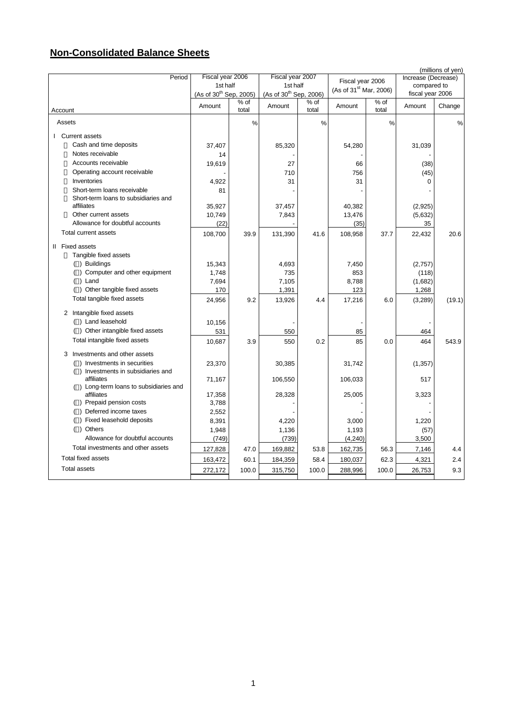# **Non-Consolidated Balance Sheets**

|                                                  |                                    |               |                                    |               |                                    |                           |                     | (millions of yen) |
|--------------------------------------------------|------------------------------------|---------------|------------------------------------|---------------|------------------------------------|---------------------------|---------------------|-------------------|
| Period                                           | Fiscal year 2006                   |               | Fiscal year 2007                   |               | Fiscal year 2006                   |                           | Increase (Decrease) |                   |
|                                                  | 1st half                           |               | 1st half                           |               | (As of 31 <sup>st</sup> Mar, 2006) |                           | compared to         |                   |
|                                                  | (As of 30 <sup>th</sup> Sep, 2005) |               | (As of 30 <sup>th</sup> Sep, 2006) |               |                                    |                           | fiscal year 2006    |                   |
| Account                                          | Amount                             | % of<br>total | Amount                             | % of<br>total | Amount                             | $\frac{1}{6}$ of<br>total | Amount              | Change            |
| Assets                                           |                                    | %             |                                    | %             |                                    | %                         |                     | %                 |
| I Current assets                                 |                                    |               |                                    |               |                                    |                           |                     |                   |
| Cash and time deposits                           | 37,407                             |               | 85,320                             |               | 54,280                             |                           | 31,039              |                   |
| Notes receivable                                 | 14                                 |               |                                    |               |                                    |                           |                     |                   |
| Accounts receivable                              | 19,619                             |               | 27                                 |               | 66                                 |                           | (38)                |                   |
| Operating account receivable                     |                                    |               | 710                                |               | 756                                |                           | (45)                |                   |
| Inventories                                      | 4,922                              |               | 31                                 |               | 31                                 |                           | 0                   |                   |
| Short-term loans receivable                      | 81                                 |               |                                    |               |                                    |                           |                     |                   |
| Short-term loans to subsidiaries and             |                                    |               |                                    |               |                                    |                           |                     |                   |
| affiliates                                       | 35,927                             |               | 37,457                             |               | 40,382                             |                           | (2,925)             |                   |
| Other current assets                             | 10,749                             |               | 7,843                              |               | 13,476                             |                           | (5,632)             |                   |
| Allowance for doubtful accounts                  | (22)                               |               |                                    |               | (35)                               |                           | 35                  |                   |
| <b>Total current assets</b>                      | 108,700                            | 39.9          | 131,390                            | 41.6          | 108,958                            | 37.7                      | 22,432              | 20.6              |
| II Fixed assets                                  |                                    |               |                                    |               |                                    |                           |                     |                   |
| Tangible fixed assets                            |                                    |               |                                    |               |                                    |                           |                     |                   |
| () Buildings                                     | 15,343                             |               | 4,693                              |               | 7,450                              |                           | (2,757)             |                   |
| () Computer and other equipment                  | 1,748                              |               | 735                                |               | 853                                |                           | (118)               |                   |
| $( )$ Land                                       | 7,694                              |               | 7,105                              |               | 8,788                              |                           | (1,682)             |                   |
| () Other tangible fixed assets                   | 170                                |               | 1,391                              |               | 123                                |                           | 1,268               |                   |
| Total tangible fixed assets                      | 24,956                             | 9.2           | 13,926                             | 4.4           | 17,216                             | 6.0                       | (3,289)             | (19.1)            |
| 2 Intangible fixed assets                        |                                    |               |                                    |               |                                    |                           |                     |                   |
| () Land leasehold                                | 10,156                             |               |                                    |               |                                    |                           |                     |                   |
| () Other intangible fixed assets                 | 531                                |               | 550                                |               | 85                                 |                           | 464                 |                   |
| Total intangible fixed assets                    | 10,687                             | 3.9           | 550                                | 0.2           | 85                                 | 0.0                       | 464                 | 543.9             |
| 3 Investments and other assets                   |                                    |               |                                    |               |                                    |                           |                     |                   |
| () Investments in securities                     | 23,370                             |               | 30,385                             |               | 31,742                             |                           | (1, 357)            |                   |
| () Investments in subsidiaries and<br>affiliates | 71,167                             |               | 106,550                            |               | 106,033                            |                           | 517                 |                   |
| () Long-term loans to subsidiaries and           |                                    |               |                                    |               |                                    |                           |                     |                   |
| affiliates                                       | 17,358                             |               | 28,328                             |               | 25,005                             |                           | 3,323               |                   |
| () Prepaid pension costs                         | 3,788                              |               |                                    |               |                                    |                           |                     |                   |
| () Deferred income taxes                         | 2,552                              |               |                                    |               |                                    |                           |                     |                   |
| () Fixed leasehold deposits                      | 8,391                              |               | 4,220                              |               | 3,000                              |                           | 1,220               |                   |
| () Others                                        | 1,948                              |               | 1,136                              |               | 1,193                              |                           | (57)                |                   |
| Allowance for doubtful accounts                  | (749)                              |               | (739)                              |               | (4, 240)                           |                           | 3,500               |                   |
| Total investments and other assets               | 127,828                            | 47.0          | 169,882                            | 53.8          | 162,735                            | 56.3                      | 7,146               | 4.4               |
| <b>Total fixed assets</b>                        | 163,472                            | 60.1          | 184,359                            | 58.4          | 180,037                            | 62.3                      | 4,321               | 2.4               |
| <b>Total assets</b>                              | 272,172                            | 100.0         | 315,750                            | 100.0         | 288,996                            | 100.0                     | 26,753              | 9.3               |
|                                                  |                                    |               |                                    |               |                                    |                           |                     |                   |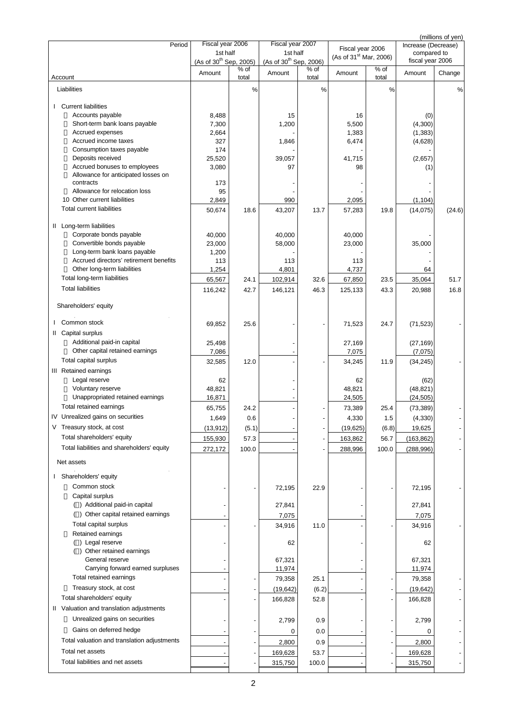| Period                                                                 | Fiscal year 2006                               |                 | Fiscal year 2007                               |               |                                                        |               | Increase (Decrease)             | (millions of yen) |
|------------------------------------------------------------------------|------------------------------------------------|-----------------|------------------------------------------------|---------------|--------------------------------------------------------|---------------|---------------------------------|-------------------|
|                                                                        | 1st half<br>(As of 30 <sup>th</sup> Sep, 2005) |                 | 1st half<br>(As of 30 <sup>th</sup> Sep, 2006) |               | Fiscal year 2006<br>(As of 31 <sup>st</sup> Mar, 2006) |               | compared to<br>fiscal year 2006 |                   |
|                                                                        | Amount                                         | $%$ of<br>total | Amount                                         | % of<br>total | Amount                                                 | % of<br>total | Amount                          | Change            |
| Account<br>Liabilities                                                 |                                                | $\%$            |                                                | $\%$          |                                                        | %             |                                 | %                 |
|                                                                        |                                                |                 |                                                |               |                                                        |               |                                 |                   |
| <b>Current liabilities</b><br>$\mathbf{L}$<br>Accounts payable         | 8,488                                          |                 | 15                                             |               | 16                                                     |               | (0)                             |                   |
| Short-term bank loans payable                                          | 7,300                                          |                 | 1,200                                          |               | 5,500                                                  |               | (4,300)                         |                   |
| Accrued expenses                                                       | 2,664                                          |                 |                                                |               | 1,383                                                  |               | (1, 383)                        |                   |
| Accrued income taxes                                                   | 327                                            |                 | 1,846                                          |               | 6,474                                                  |               | (4,628)                         |                   |
| Consumption taxes payable                                              | 174                                            |                 |                                                |               |                                                        |               |                                 |                   |
| Deposits received                                                      | 25,520                                         |                 | 39,057                                         |               | 41,715                                                 |               | (2,657)                         |                   |
| Accrued bonuses to employees<br>Allowance for anticipated losses on    | 3,080                                          |                 | 97                                             |               | 98                                                     |               | (1)                             |                   |
| contracts                                                              | 173                                            |                 |                                                |               |                                                        |               |                                 |                   |
| Allowance for relocation loss                                          | 95                                             |                 |                                                |               |                                                        |               |                                 |                   |
| 10 Other current liabilities                                           | 2,849                                          |                 | 990                                            |               | 2,095                                                  |               | (1, 104)                        |                   |
| <b>Total current liabilities</b>                                       | 50,674                                         | 18.6            | 43,207                                         | 13.7          | 57,283                                                 | 19.8          | (14, 075)                       | (24.6)            |
| II Long-term liabilities                                               |                                                |                 |                                                |               |                                                        |               |                                 |                   |
| Corporate bonds payable                                                | 40,000                                         |                 | 40,000                                         |               | 40,000                                                 |               |                                 |                   |
| Convertible bonds payable                                              | 23,000                                         |                 | 58,000                                         |               | 23,000                                                 |               | 35,000                          |                   |
| Long-term bank loans payable<br>Accrued directors' retirement benefits | 1,200                                          |                 |                                                |               |                                                        |               |                                 |                   |
| Other long-term liabilities                                            | 113<br>1,254                                   |                 | 113<br>4,801                                   |               | 113<br>4,737                                           |               | 64                              |                   |
| Total long-term liabilities                                            | 65,567                                         | 24.1            | 102,914                                        | 32.6          | 67,850                                                 | 23.5          | 35,064                          | 51.7              |
| <b>Total liabilities</b>                                               | 116,242                                        | 42.7            | 146,121                                        | 46.3          | 125,133                                                | 43.3          | 20,988                          | 16.8              |
| Shareholders' equity                                                   |                                                |                 |                                                |               |                                                        |               |                                 |                   |
| Common stock                                                           | 69,852                                         | 25.6            |                                                |               | 71,523                                                 | 24.7          | (71, 523)                       |                   |
| II Capital surplus                                                     |                                                |                 |                                                |               |                                                        |               |                                 |                   |
| Additional paid-in capital                                             | 25,498                                         |                 |                                                |               | 27,169                                                 |               | (27, 169)                       |                   |
| Other capital retained earnings                                        | 7,086                                          |                 |                                                |               | 7,075                                                  |               | (7,075)                         |                   |
| Total capital surplus                                                  | 32,585                                         | 12.0            |                                                |               | 34,245                                                 | 11.9          | (34, 245)                       |                   |
| III Retained earnings                                                  |                                                |                 |                                                |               |                                                        |               |                                 |                   |
| Legal reserve                                                          | 62                                             |                 |                                                |               | 62                                                     |               | (62)                            |                   |
| Voluntary reserve<br>Unappropriated retained earnings                  | 48,821                                         |                 |                                                |               | 48,821                                                 |               | (48, 821)                       |                   |
| Total retained earnings                                                | 16,871                                         |                 |                                                |               | 24,505                                                 |               | (24, 505)                       |                   |
| IV Unrealized gains on securities                                      | 65,755                                         | 24.2            |                                                |               | 73,389                                                 | 25.4          | (73, 389)                       |                   |
| V Treasury stock, at cost                                              | 1,649                                          | 0.6             |                                                |               | 4,330                                                  | 1.5           | (4, 330)                        |                   |
| Total shareholders' equity                                             | (13, 912)                                      | (5.1)           |                                                |               | (19, 625)                                              | (6.8)         | 19,625                          |                   |
| Total liabilities and shareholders' equity                             | 155,930                                        | 57.3            |                                                |               | 163,862                                                | 56.7          | (163, 862)                      |                   |
|                                                                        | 272,172                                        | 100.0           |                                                |               | 288,996                                                | 100.0         | (288, 996)                      |                   |
| Net assets                                                             |                                                |                 |                                                |               |                                                        |               |                                 |                   |
| I Shareholders' equity                                                 |                                                |                 |                                                |               |                                                        |               |                                 |                   |
| Common stock                                                           |                                                |                 | 72,195                                         | 22.9          |                                                        |               | 72,195                          |                   |
| Capital surplus<br>() Additional paid-in capital                       |                                                |                 |                                                |               |                                                        |               |                                 |                   |
| () Other capital retained earnings                                     |                                                |                 | 27,841                                         |               |                                                        |               | 27,841                          |                   |
| Total capital surplus                                                  |                                                |                 | 7,075                                          |               |                                                        |               | 7,075                           |                   |
| Retained earnings                                                      |                                                |                 | 34,916                                         | 11.0          |                                                        |               | 34,916                          |                   |
| () Legal reserve                                                       |                                                |                 | 62                                             |               |                                                        |               | 62                              |                   |
| () Other retained earnings                                             |                                                |                 |                                                |               |                                                        |               |                                 |                   |
| General reserve<br>Carrying forward earned surpluses                   |                                                |                 | 67,321                                         |               |                                                        |               | 67,321                          |                   |
|                                                                        |                                                |                 | 11,974                                         |               |                                                        |               | 11,974                          |                   |
| Total retained earnings<br>Treasury stock, at cost                     |                                                |                 | 79,358                                         | 25.1          |                                                        |               | 79,358                          |                   |
|                                                                        |                                                |                 | (19, 642)                                      | (6.2)         |                                                        |               | (19, 642)                       |                   |
| Total shareholders' equity                                             |                                                |                 | 166,828                                        | 52.8          |                                                        |               | 166,828                         |                   |
| II Valuation and translation adjustments                               |                                                |                 |                                                |               |                                                        |               |                                 |                   |
| Unrealized gains on securities                                         |                                                |                 | 2,799                                          | 0.9           |                                                        |               | 2,799                           |                   |
| Gains on deferred hedge<br>Total valuation and translation adjustments |                                                |                 | 0                                              | 0.0           |                                                        |               | 0                               |                   |
| Total net assets                                                       |                                                |                 | 2,800                                          | 0.9           |                                                        |               | 2,800                           |                   |
|                                                                        |                                                |                 | 169,628                                        | 53.7          |                                                        |               | 169,628                         |                   |
| Total liabilities and net assets                                       |                                                |                 | 315,750                                        | 100.0         |                                                        |               | 315,750                         |                   |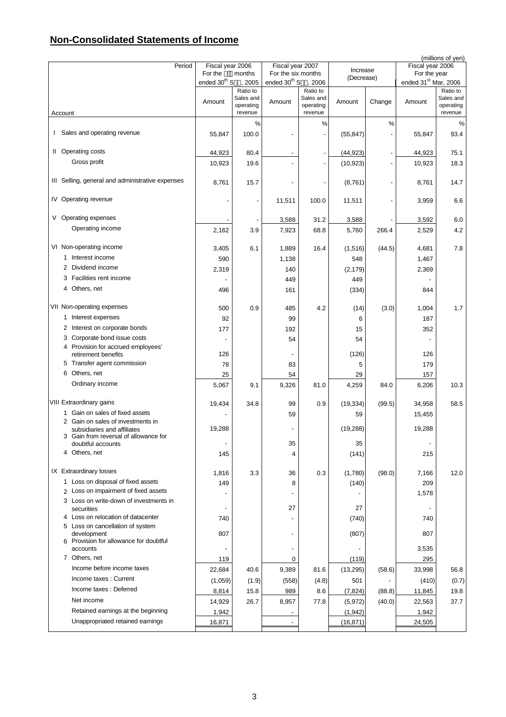# **Non-Consolidated Statements of Income**

|                                                                                                           |                          |                                   |                          |                                               |            |        |                                  | (millions of yen)                 |
|-----------------------------------------------------------------------------------------------------------|--------------------------|-----------------------------------|--------------------------|-----------------------------------------------|------------|--------|----------------------------------|-----------------------------------|
| Period                                                                                                    | Fiscal year 2006         |                                   | Fiscal year 2007         |                                               | Increase   |        | Fiscal year 2006                 |                                   |
|                                                                                                           | For the                  | months                            | For the six months       |                                               | (Decrease) |        | For the year                     |                                   |
|                                                                                                           | ended 30 <sup>th</sup> S | , 2005<br>Ratio to                | ended 30 <sup>th</sup> S | .2006                                         |            |        | ended 31 <sup>st</sup> Mar, 2006 | Ratio to                          |
| Account                                                                                                   | Amount                   | Sales and<br>operating<br>revenue | Amount                   | Ratio to<br>Sales and<br>operating<br>revenue | Amount     | Change | Amount                           | Sales and<br>operating<br>revenue |
|                                                                                                           |                          | %                                 |                          | $\%$                                          |            | %      |                                  | %                                 |
| I Sales and operating revenue                                                                             | 55,847                   | 100.0                             |                          |                                               | (55, 847)  |        | 55,847                           | 93.4                              |
| II Operating costs                                                                                        | 44,923                   | 80.4                              |                          |                                               | (44, 923)  |        | 44,923                           | 75.1                              |
| Gross profit                                                                                              | 10,923                   | 19.6                              |                          |                                               | (10, 923)  |        | 10,923                           | 18.3                              |
| III Selling, general and administrative expenses                                                          | 8,761                    | 15.7                              |                          |                                               | (8,761)    |        | 8,761                            | 14.7                              |
| IV Operating revenue                                                                                      |                          |                                   | 11,511                   | 100.0                                         | 11,511     |        | 3,959                            | 6.6                               |
| V Operating expenses                                                                                      |                          |                                   | 3,588                    | 31.2                                          | 3,588      |        | 3,592                            | 6.0                               |
| Operating income                                                                                          | 2,162                    | 3.9                               | 7,923                    | 68.8                                          | 5,760      | 266.4  | 2,529                            | 4.2                               |
|                                                                                                           |                          |                                   |                          |                                               |            |        |                                  |                                   |
| VI Non-operating income                                                                                   | 3,405                    | 6.1                               | 1,889                    | 16.4                                          | (1,516)    | (44.5) | 4,681                            | 7.8                               |
| 1 Interest income                                                                                         | 590                      |                                   | 1,138                    |                                               | 548        |        | 1,467                            |                                   |
| Dividend income<br>2                                                                                      | 2,319                    |                                   | 140                      |                                               | (2, 179)   |        | 2,369                            |                                   |
| 3 Facilities rent income                                                                                  |                          |                                   | 449                      |                                               | 449        |        |                                  |                                   |
| 4 Others, net                                                                                             | 496                      |                                   | 161                      |                                               | (334)      |        | 844                              |                                   |
| VII Non-operating expenses                                                                                | 500                      | 0.9                               | 485                      | 4.2                                           | (14)       | (3.0)  | 1,004                            | 1.7                               |
| 1 Interest expenses                                                                                       | 92                       |                                   | 99                       |                                               | 6          |        | 187                              |                                   |
| 2 Interest on corporate bonds                                                                             | 177                      |                                   | 192                      |                                               | 15         |        | 352                              |                                   |
| 3 Corporate bond issue costs                                                                              |                          |                                   | 54                       |                                               | 54         |        |                                  |                                   |
| 4 Provision for accrued employees'                                                                        |                          |                                   |                          |                                               |            |        |                                  |                                   |
| retirement benefits                                                                                       | 126                      |                                   |                          |                                               | (126)      |        | 126                              |                                   |
| 5 Transfer agent commission                                                                               | 78                       |                                   | 83                       |                                               | 5          |        | 179                              |                                   |
| 6 Others, net                                                                                             | 25                       |                                   | 54                       |                                               | 29         |        | 157                              |                                   |
| Ordinary income                                                                                           | 5,067                    | 9.1                               | 9,326                    | 81.0                                          | 4,259      | 84.0   | 6,206                            | 10.3                              |
| VIII Extraordinary gains                                                                                  | 19,434                   | 34.8                              | 99                       | 0.9                                           | (19, 334)  | (99.5) | 34,958                           | 58.5                              |
| Gain on sales of fixed assets<br>1.                                                                       |                          |                                   | 59                       |                                               | 59         |        | 15,455                           |                                   |
| 2 Gain on sales of investments in<br>subsidiaries and affiliates<br>3 Gain from reversal of allowance for | 19,288                   |                                   |                          |                                               | (19, 288)  |        | 19,288                           |                                   |
| doubtful accounts                                                                                         |                          |                                   | 35                       |                                               | 35         |        | $\overline{\phantom{a}}$         |                                   |
| 4 Others, net                                                                                             | 145                      |                                   | 4                        |                                               | (141)      |        | 215                              |                                   |
| IX Extraordinary losses                                                                                   | 1,816                    | 3.3                               | 36                       | 0.3                                           | (1,780)    | (98.0) | 7,166                            | 12.0                              |
| 1 Loss on disposal of fixed assets                                                                        | 149                      |                                   | 8                        |                                               | (140)      |        | 209                              |                                   |
| 2 Loss on impairment of fixed assets<br>3 Loss on write-down of investments in                            |                          |                                   |                          |                                               |            |        | 1,578                            |                                   |
| securities                                                                                                |                          |                                   | 27                       |                                               | 27         |        |                                  |                                   |
| 4 Loss on relocation of datacenter                                                                        | 740                      |                                   |                          |                                               | (740)      |        | 740                              |                                   |
| 5 Loss on cancellation of system<br>development                                                           | 807                      |                                   |                          |                                               | (807)      |        | 807                              |                                   |
| 6 Provision for allowance for doubtful<br>accounts                                                        |                          |                                   |                          |                                               |            |        | 3,535                            |                                   |
| 7 Others, net                                                                                             | 119                      |                                   | 0                        |                                               | (119)      |        | 295                              |                                   |
| Income before income taxes                                                                                | 22,684                   | 40.6                              | 9,389                    | 81.6                                          | (13, 295)  | (58.6) | 33,998                           | 56.8                              |
| Income taxes: Current                                                                                     | (1,059)                  | (1.9)                             | (558)                    | (4.8)                                         | 501        |        | (410)                            | (0.7)                             |
| Income taxes: Deferred                                                                                    | 8,814                    | 15.8                              | 989                      | 8.6                                           | (7, 824)   | (88.8) | 11,845                           | 19.8                              |
| Net income                                                                                                | 14,929                   | 26.7                              | 8,957                    | 77.8                                          | (5,972)    | (40.0) | 22,563                           | 37.7                              |
| Retained earnings at the beginning                                                                        | 1,942                    |                                   |                          |                                               | (1, 942)   |        | 1,942                            |                                   |
| Unappropriated retained earnings                                                                          | 16,871                   |                                   |                          |                                               | (16, 871)  |        | 24,505                           |                                   |
|                                                                                                           |                          |                                   |                          |                                               |            |        |                                  |                                   |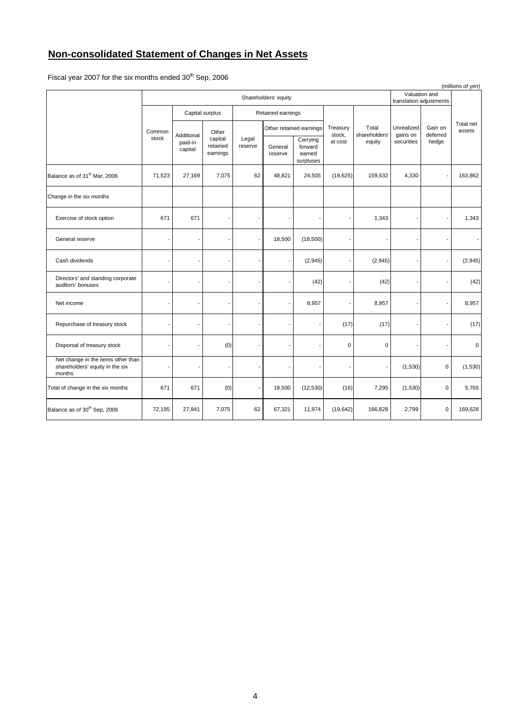# **Non-consolidated Statement of Changes in Net Assets**

Fiscal year 2007 for the six months ended  $30^{th}$  Sep, 2006

| (millions of yen)                                                               |                          |                                  |                                 |                          |                    |                                            |                    |                        |                        |                                          |                     |
|---------------------------------------------------------------------------------|--------------------------|----------------------------------|---------------------------------|--------------------------|--------------------|--------------------------------------------|--------------------|------------------------|------------------------|------------------------------------------|---------------------|
|                                                                                 |                          | Shareholders' equity             |                                 |                          |                    |                                            |                    |                        |                        | Valuation and<br>translation adjustments |                     |
|                                                                                 |                          |                                  | Capital surplus                 |                          | Retained earnings  |                                            |                    |                        |                        |                                          |                     |
|                                                                                 | Common                   |                                  | Other                           |                          |                    | Other retained earnings                    | Treasury<br>stock, | Total<br>shareholders' | Unrealized<br>gains on | Gain on<br>deferred                      | Total net<br>assets |
|                                                                                 | stock                    | Additional<br>paid-in<br>capital | capital<br>retained<br>earnings | Legal<br>reserve         | General<br>reserve | Carrying<br>forward<br>earned<br>surpluses | at cost            | equity                 | securities             | hedge                                    |                     |
| Balance as of 31 <sup>st</sup> Mar, 2006                                        | 71,523                   | 27,169                           | 7,075                           | 62                       | 48,821             | 24,505                                     | (19, 625)          | 159,532                | 4,330                  |                                          | 163,862             |
| Change in the six months                                                        |                          |                                  |                                 |                          |                    |                                            |                    |                        |                        |                                          |                     |
| Exercise of stock option                                                        | 671                      | 671                              |                                 |                          |                    |                                            |                    | 1,343                  |                        |                                          | 1,343               |
| General reserve                                                                 |                          |                                  |                                 | $\overline{\phantom{a}}$ | 18,500             | (18,500)                                   |                    |                        |                        |                                          |                     |
| Cash dividends                                                                  |                          | ٠                                |                                 |                          |                    | (2,945)                                    |                    | (2, 945)               |                        |                                          | (2,945)             |
| Directors' and standing corporate<br>auditors' bonuses                          |                          |                                  |                                 |                          |                    | (42)                                       |                    | (42)                   |                        |                                          | (42)                |
| Net income                                                                      |                          |                                  |                                 |                          |                    | 8,957                                      |                    | 8,957                  |                        |                                          | 8,957               |
| Repurchase of treasury stock                                                    |                          | ٠                                |                                 |                          |                    |                                            | (17)               | (17)                   |                        |                                          | (17)                |
| Disporsal of treasury stock                                                     | $\overline{\phantom{a}}$ |                                  | (0)                             |                          |                    |                                            | 0                  | $\mathbf 0$            |                        |                                          | 0                   |
| Net change in the items other than<br>shareholders' equity in the six<br>months |                          | ٠                                |                                 |                          |                    |                                            |                    | $\overline{a}$         | (1,530)                | 0                                        | (1,530)             |
| Total of change in the six months                                               | 671                      | 671                              | (0)                             | $\overline{\phantom{a}}$ | 18,500             | (12, 530)                                  | (16)               | 7,295                  | (1,530)                | $\pmb{0}$                                | 5,765               |
| Balance as of 30 <sup>th</sup> Sep, 2006                                        | 72,195                   | 27,841                           | 7,075                           | 62                       | 67,321             | 11,974                                     | (19, 642)          | 166,828                | 2,799                  | $\mathbf 0$                              | 169,628             |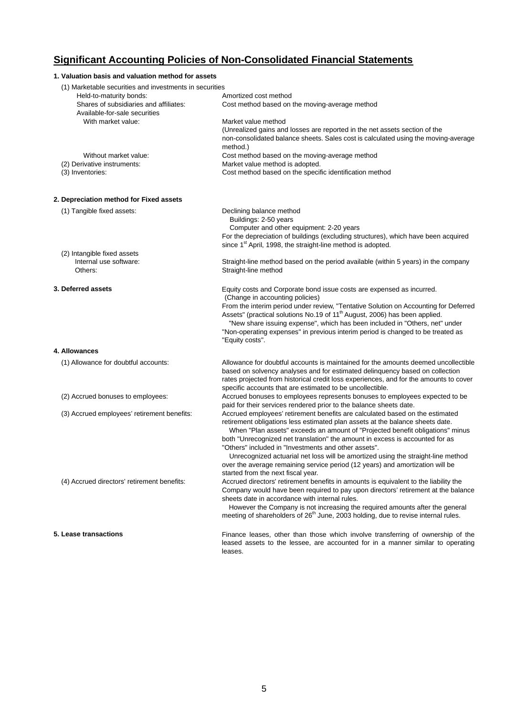# **Significant Accounting Policies of Non-Consolidated Financial Statements**

## **1. Valuation basis and valuation method for assets** (1) Marketable securities and investments in securities Held-to-maturity bonds: Amortized cost method Shares of subsidiaries and affiliates: Cost method based on the moving-average method Available-for-sale securities With market value: Market value method (Unrealized gains and losses are reported in the net assets section of the non-consolidated balance sheets. Sales cost is calculated using the moving-average method.) Without market value: Cost method based on the moving-average method (2) Derivative instruments: Market value method is adopted. (3) Inventories: Cost method based on the specific identification method **2. Depreciation method for Fixed assets** (1) Tangible fixed assets: Declining balance method Buildings: 2-50 years Computer and other equipment: 2-20 years For the depreciation of buildings (excluding structures), which have been acquired since 1<sup>st</sup> April, 1998, the straight-line method is adopted. (2) Intangible fixed assets Internal use software: Straight-line method based on the period available (within 5 years) in the company Others: Straight-line method **3. Deferred assets** Equity costs and Corporate bond issue costs are expensed as incurred. (Change in accounting policies) From the interim period under review, "Tentative Solution on Accounting for Deferred Assets" (practical solutions No.19 of 11<sup>th</sup> August, 2006) has been applied. "New share issuing expense", which has been included in "Others, net" under "Non-operating expenses" in previous interim period is changed to be treated as "Equity costs". **4. Allowances** (1) Allowance for doubtful accounts: Allowance for doubtful accounts is maintained for the amounts deemed uncollectible based on solvency analyses and for estimated delinquency based on collection rates projected from historical credit loss experiences, and for the amounts to cover specific accounts that are estimated to be uncollectible. (2) Accrued bonuses to employees: Accrued bonuses to employees represents bonuses to employees expected to be paid for their services rendered prior to the balance sheets date. (3) Accrued employees' retirement benefits: Accrued employees' retirement benefits are calculated based on the estimated retirement obligations less estimated plan assets at the balance sheets date. When "Plan assets" exceeds an amount of "Projected benefit obligations" minus both "Unrecognized net translation" the amount in excess is accounted for as "Others" included in "Investments and other assets". Unrecognized actuarial net loss will be amortized using the straight-line method over the average remaining service period (12 years) and amortization will be started from the next fiscal year. (4) Accrued directors' retirement benefits: Accrued directors' retirement benefits in amounts is equivalent to the liability the Company would have been required to pay upon directors' retirement at the balance sheets date in accordance with internal rules. However the Company is not increasing the required amounts after the general meeting of shareholders of  $26<sup>th</sup>$  June, 2003 holding, due to revise internal rules. **5. Lease transactions** Finance leases, other than those which involve transferring of ownership of the leased assets to the lessee, are accounted for in a manner similar to operating

leases.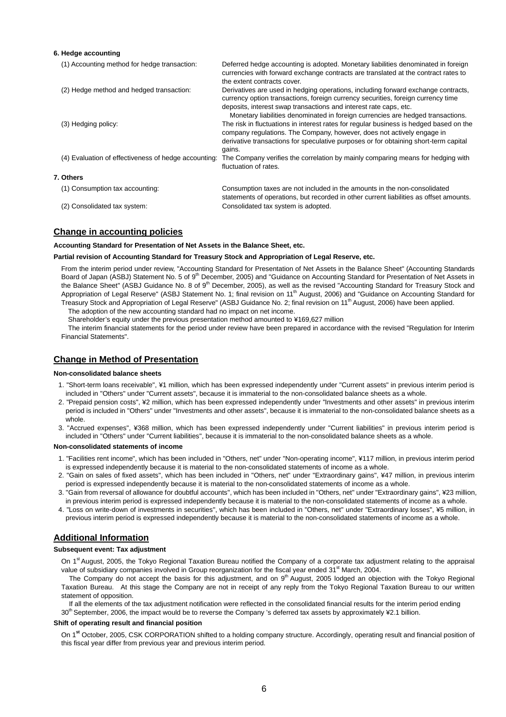#### **6. Hedge accounting**

| (1) Accounting method for hedge transaction:         | Deferred hedge accounting is adopted. Monetary liabilities denominated in foreign<br>currencies with forward exchange contracts are translated at the contract rates to<br>the extent contracts cover.                                                                                                                                      |
|------------------------------------------------------|---------------------------------------------------------------------------------------------------------------------------------------------------------------------------------------------------------------------------------------------------------------------------------------------------------------------------------------------|
| (2) Hedge method and hedged transaction:             | Derivatives are used in hedging operations, including forward exchange contracts,<br>currency option transactions, foreign currency securities, foreign currency time<br>deposits, interest swap transactions and interest rate caps, etc.                                                                                                  |
| (3) Hedging policy:                                  | Monetary liabilities denominated in foreign currencies are hedged transactions.<br>The risk in fluctuations in interest rates for regular business is hedged based on the<br>company regulations. The Company, however, does not actively engage in<br>derivative transactions for speculative purposes or for obtaining short-term capital |
| (4) Evaluation of effectiveness of hedge accounting: | gains.<br>The Company verifies the correlation by mainly comparing means for hedging with<br>fluctuation of rates.                                                                                                                                                                                                                          |
| 7. Others                                            |                                                                                                                                                                                                                                                                                                                                             |
| (1) Consumption tax accounting:                      | Consumption taxes are not included in the amounts in the non-consolidated<br>statements of operations, but recorded in other current liabilities as offset amounts.                                                                                                                                                                         |
| (2) Consolidated tax system:                         | Consolidated tax system is adopted.                                                                                                                                                                                                                                                                                                         |

### **Change in accounting policies**

**Accounting Standard for Presentation of Net Assets in the Balance Sheet, etc.**

#### **Partial revision of Accounting Standard for Treasury Stock and Appropriation of Legal Reserve, etc.**

From the interim period under review, "Accounting Standard for Presentation of Net Assets in the Balance Sheet" (Accounting Standards Board of Japan (ASBJ) Statement No. 5 of 9<sup>th</sup> December, 2005) and "Guidance on Accounting Standard for Presentation of Net Assets in the Balance Sheet" (ASBJ Guidance No. 8 of 9<sup>th</sup> December, 2005), as well as the revised "Accounting Standard for Treasury Stock and Appropriation of Legal Reserve" (ASBJ Statement No. 1; final revision on 11<sup>th</sup> August, 2006) and "Guidance on Accounting Standard for Treasury Stock and Appropriation of Legal Reserve" (ASBJ Guidance No. 2; final revision on 11<sup>th</sup> August, 2006) have been applied. The adoption of the new accounting standard had no impact on net income.

Shareholder's equity under the previous presentation method amounted to ¥169,627 million

The interim financial statements for the period under review have been prepared in accordance with the revised "Regulation for Interim Financial Statements".

## **Change in Method of Presentation**

#### **Non-consolidated balance sheets**

- 1. "Short-term loans receivable", ¥1 million, which has been expressed independently under "Current assets" in previous interim period is included in "Others" under "Current assets", because it is immaterial to the non-consolidated balance sheets as a whole.
- 2. "Prepaid pension costs", ¥2 million, which has been expressed independently under "Investments and other assets" in previous interim period is included in "Others" under "Investments and other assets", because it is immaterial to the non-consolidated balance sheets as a whole.
- 3. "Accrued expenses", ¥368 million, which has been expressed independently under "Current liabilities" in previous interim period is included in "Others" under "Current liabilities", because it is immaterial to the non-consolidated balance sheets as a whole.

#### **Non-consolidated statements of income**

- 1. "Facilities rent income", which has been included in "Others, net" under "Non-operating income", ¥117 million, in previous interim period is expressed independently because it is material to the non-consolidated statements of income as a whole.
- 2. "Gain on sales of fixed assets", which has been included in "Others, net" under "Extraordinary gains", ¥47 million, in previous interim period is expressed independently because it is material to the non-consolidated statements of income as a whole.
- 3. "Gain from reversal of allowance for doubtful accounts", which has been included in "Others, net" under "Extraordinary gains", ¥23 million, in previous interim period is expressed independently because it is material to the non-consolidated statements of income as a whole.
- 4. "Loss on write-down of investments in securities", which has been included in "Others, net" under "Extraordinary losses", ¥5 million, in previous interim period is expressed independently because it is material to the non-consolidated statements of income as a whole.

## **Additional Information**

#### **Subsequent event: Tax adjustment**

On 1<sup>st</sup> August, 2005, the Tokyo Regional Taxation Bureau notified the Company of a corporate tax adjustment relating to the appraisal value of subsidiary companies involved in Group reorganization for the fiscal year ended 31<sup>st</sup> March, 2004.

The Company do not accept the basis for this adjustment, and on 9<sup>th</sup> August, 2005 lodged an objection with the Tokyo Regional Taxation Bureau. At this stage the Company are not in receipt of any reply from the Tokyo Regional Taxation Bureau to our written statement of opposition.

If all the elements of the tax adjustment notification were reflected in the consolidated financial results for the interim period ending 30<sup>th</sup> September, 2006, the impact would be to reverse the Company 's deferred tax assets by approximately ¥2.1 billion.

## **Shift of operating result and financial position**

On 1**st** October, 2005, CSK CORPORATION shifted to a holding company structure. Accordingly, operating result and financial position of this fiscal year differ from previous year and previous interim period.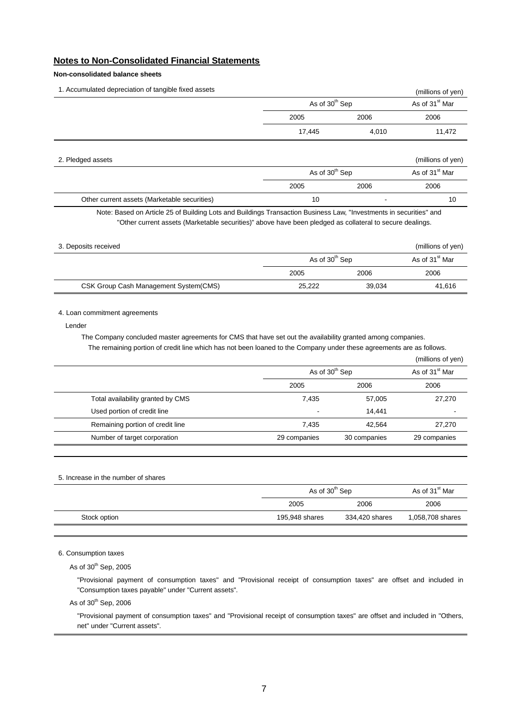## **Notes to Non-Consolidated Financial Statements**

## **Non-consolidated balance sheets**

| 1. Accumulated depreciation of tangible fixed assets |                            |       | (millions of yen)          |
|------------------------------------------------------|----------------------------|-------|----------------------------|
|                                                      | As of 30 <sup>th</sup> Sep |       | As of 31 <sup>st</sup> Mar |
|                                                      | 2005                       | 2006  | 2006                       |
|                                                      | 17,445                     | 4,010 | 11,472                     |
|                                                      |                            |       |                            |

| 2. Pledged assets                            |                            |                          | (millions of yen)          |  |
|----------------------------------------------|----------------------------|--------------------------|----------------------------|--|
|                                              | As of 30 <sup>th</sup> Sep |                          | As of 31 <sup>st</sup> Mar |  |
|                                              | 2005                       | 2006                     | 2006                       |  |
| Other current assets (Marketable securities) | 10                         | $\overline{\phantom{a}}$ | 10                         |  |

Note: Based on Article 25 of Building Lots and Buildings Transaction Business Law, "Investments in securities" and "Other current assets (Marketable securities)" above have been pledged as collateral to secure dealings.

| 3. Deposits received                  |                            |                            | (millions of yen) |
|---------------------------------------|----------------------------|----------------------------|-------------------|
|                                       | As of 30 <sup>th</sup> Sep | As of 31 <sup>st</sup> Mar |                   |
|                                       | 2005                       | 2006                       | 2006              |
| CSK Group Cash Management System(CMS) | 25,222                     | 39,034                     | 41,616            |

### 4. Loan commitment agreements

Lender

The Company concluded master agreements for CMS that have set out the availability granted among companies. The remaining portion of credit line which has not been loaned to the Company under these agreements are as follows.

|                                   |                            |                            | (millions of yen) |
|-----------------------------------|----------------------------|----------------------------|-------------------|
|                                   | As of 30 <sup>th</sup> Sep | As of 31 <sup>st</sup> Mar |                   |
|                                   | 2005                       | 2006                       | 2006              |
| Total availability granted by CMS | 7,435                      | 57,005                     | 27,270            |
| Used portion of credit line       |                            | 14,441                     | -                 |
| Remaining portion of credit line  | 7,435                      | 42,564                     | 27,270            |
| Number of target corporation      | 29 companies               | 30 companies               | 29 companies      |
|                                   |                            |                            |                   |

| 5. Increase in the number of shares |  |  |  |
|-------------------------------------|--|--|--|
|                                     |  |  |  |

|              |                | As of 30 <sup>th</sup> Sep |                  |  |
|--------------|----------------|----------------------------|------------------|--|
|              | 2005           | 2006                       | 2006             |  |
| Stock option | 195,948 shares | 334,420 shares             | 1,058,708 shares |  |
|              |                |                            |                  |  |

6. Consumption taxes

As of  $30<sup>th</sup>$  Sep, 2005

"Provisional payment of consumption taxes" and "Provisional receipt of consumption taxes" are offset and included in "Consumption taxes payable" under "Current assets".

As of  $30<sup>th</sup>$  Sep, 2006

"Provisional payment of consumption taxes" and "Provisional receipt of consumption taxes" are offset and included in "Others, net" under "Current assets".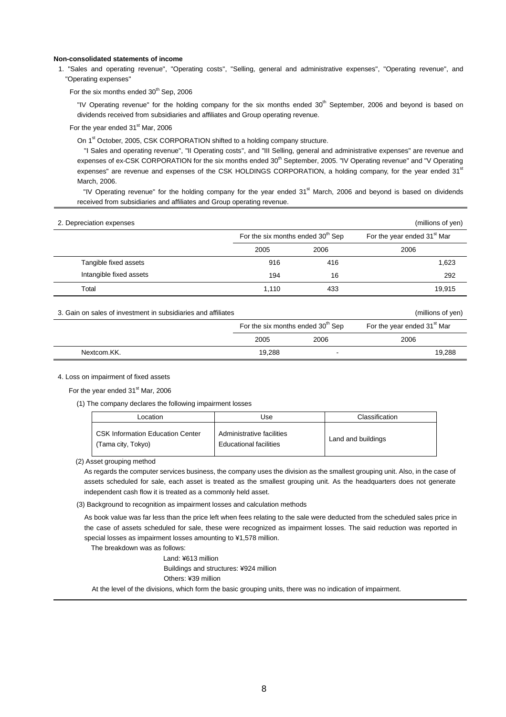#### **Non-consolidated statements of income**

1. "Sales and operating revenue", "Operating costs", "Selling, general and administrative expenses", "Operating revenue", and "Operating expenses"

For the six months ended  $30<sup>th</sup>$  Sep, 2006

"IV Operating revenue" for the holding company for the six months ended 30<sup>th</sup> September, 2006 and beyond is based on dividends received from subsidiaries and affiliates and Group operating revenue.

For the year ended 31<sup>st</sup> Mar, 2006

On 1<sup>st</sup> October, 2005, CSK CORPORATION shifted to a holding company structure.

 "I Sales and operating revenue", "II Operating costs", and "III Selling, general and administrative expenses" are revenue and expenses of ex-CSK CORPORATION for the six months ended 30<sup>th</sup> September, 2005. "IV Operating revenue" and "V Operating expenses" are revenue and expenses of the CSK HOLDINGS CORPORATION, a holding company, for the year ended 31<sup>st</sup> March, 2006.

"IV Operating revenue" for the holding company for the year ended 31<sup>st</sup> March, 2006 and beyond is based on dividends received from subsidiaries and affiliates and Group operating revenue.

| 2. Depreciation expenses |                                               |      | (millions of yen)                       |
|--------------------------|-----------------------------------------------|------|-----------------------------------------|
|                          | For the six months ended 30 <sup>th</sup> Sep |      | For the year ended 31 <sup>st</sup> Mar |
|                          | 2005                                          | 2006 | 2006                                    |
| Tangible fixed assets    | 916                                           | 416  | 1,623                                   |
| Intangible fixed assets  | 194                                           | 16   | 292                                     |
| Total                    | 1.110                                         | 433  | 19.915                                  |

| 3. Gain on sales of investment in subsidiaries and affiliates |                                               |      | (millions of yen)                       |
|---------------------------------------------------------------|-----------------------------------------------|------|-----------------------------------------|
|                                                               | For the six months ended 30 <sup>th</sup> Sep |      | For the year ended 31 <sup>st</sup> Mar |
|                                                               | 2005                                          | 2006 | 2006                                    |
| Nextcom.KK.                                                   | 19.288                                        | . .  | 19.288                                  |

#### 4. Loss on impairment of fixed assets

For the year ended 31<sup>st</sup> Mar, 2006

(1) The company declares the following impairment losses

| Location                                                      | Use                                                 | Classification     |
|---------------------------------------------------------------|-----------------------------------------------------|--------------------|
| <b>CSK Information Education Center</b><br>(Tama city, Tokyo) | Administrative facilities<br>Educational facilities | Land and buildings |

(2) Asset grouping method

As regards the computer services business, the company uses the division as the smallest grouping unit. Also, in the case of assets scheduled for sale, each asset is treated as the smallest grouping unit. As the headquarters does not generate independent cash flow it is treated as a commonly held asset.

(3) Background to recognition as impairment losses and calculation methods

As book value was far less than the price left when fees relating to the sale were deducted from the scheduled sales price in the case of assets scheduled for sale, these were recognized as impairment losses. The said reduction was reported in special losses as impairment losses amounting to ¥1,578 million.

The breakdown was as follows:

Land: ¥613 million Buildings and structures: ¥924 million Others: ¥39 million

At the level of the divisions, which form the basic grouping units, there was no indication of impairment.